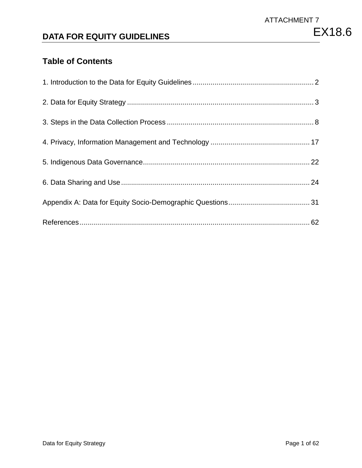## **DATA FOR EQUITY GUIDELINES**

## **Table of Contents**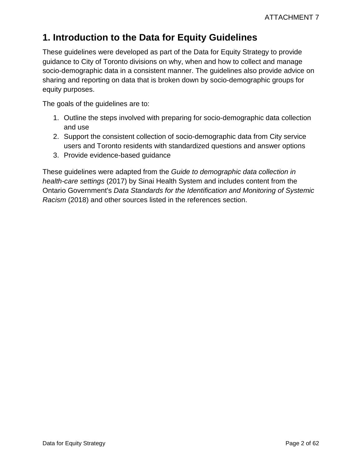## <span id="page-1-0"></span>**1. Introduction to the Data for Equity Guidelines**

These guidelines were developed as part of the Data for Equity Strategy to provide guidance to City of Toronto divisions on why, when and how to collect and manage socio-demographic data in a consistent manner. The guidelines also provide advice on sharing and reporting on data that is broken down by socio-demographic groups for equity purposes.

The goals of the guidelines are to:

- 1. Outline the steps involved with preparing for socio-demographic data collection and use
- 2. Support the consistent collection of socio-demographic data from City service users and Toronto residents with standardized questions and answer options
- 3. Provide evidence-based guidance

These guidelines were adapted from the *Guide to demographic data collection in health-care settings* (2017) by Sinai Health System and includes content from the Ontario Government's *Data Standards for the Identification and Monitoring of Systemic Racism* (2018) and other sources listed in the references section.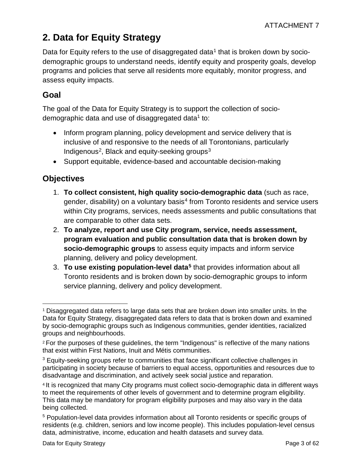# <span id="page-2-0"></span>**2. Data for Equity Strategy**

Data for Equity refers to the use of disaggregated data<sup>[1](#page-2-1)</sup> that is broken down by sociodemographic groups to understand needs, identify equity and prosperity goals, develop programs and policies that serve all residents more equitably, monitor progress, and assess equity impacts.

## **Goal**

The goal of the Data for Equity Strategy is to support the collection of sociodemographic data and use of disaggregated data<sup>1</sup> to:

- Inform program planning, policy development and service delivery that is inclusive of and responsive to the needs of all Torontonians, particularly Indigenous<sup>2</sup>, Black and equity-seeking groups $3$
- Support equitable, evidence-based and accountable decision-making

## **Objectives**

- 1. **To collect consistent, high quality socio-demographic data** (such as race, gender, disability) on a voluntary basis<sup>[4](#page-2-4)</sup> from Toronto residents and service users within City programs, services, needs assessments and public consultations that are comparable to other data sets.
- 2. **To analyze, report and use City program, service, needs assessment, program evaluation and public consultation data that is broken down by socio-demographic groups** to assess equity impacts and inform service planning, delivery and policy development.
- 3. **To use existing population-level data[5](#page-2-5)** that provides information about all Toronto residents and is broken down by socio-demographic groups to inform service planning, delivery and policy development.

<span id="page-2-1"></span> $\overline{a}$ <sup>1</sup> Disaggregated data refers to large data sets that are broken down into smaller units. In the Data for Equity Strategy, disaggregated data refers to data that is broken down and examined by socio-demographic groups such as Indigenous communities, gender identities, racialized groups and neighbourhoods.

<span id="page-2-2"></span><sup>2</sup> For the purposes of these guidelines, the term "Indigenous" is reflective of the many nations that exist within First Nations, Inuit and Métis communities.

<span id="page-2-3"></span><sup>&</sup>lt;sup>3</sup> Equity-seeking groups refer to communities that face significant collective challenges in participating in society because of barriers to equal access, opportunities and resources due to disadvantage and discrimination, and actively seek social justice and reparation.

<span id="page-2-4"></span><sup>4</sup> It is recognized that many City programs must collect socio-demographic data in different ways to meet the requirements of other levels of government and to determine program eligibility. This data may be mandatory for program eligibility purposes and may also vary in the data being collected.

<span id="page-2-5"></span><sup>5</sup> Population-level data provides information about all Toronto residents or specific groups of residents (e.g. children, seniors and low income people). This includes population-level census data, administrative, income, education and health datasets and survey data.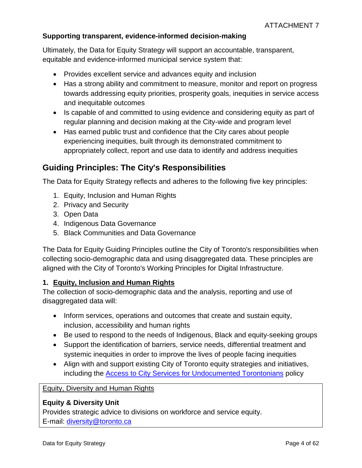#### **Supporting transparent, evidence-informed decision-making**

Ultimately, the Data for Equity Strategy will support an accountable, transparent, equitable and evidence-informed municipal service system that:

- Provides excellent service and advances equity and inclusion
- Has a strong ability and commitment to measure, monitor and report on progress towards addressing equity priorities, prosperity goals, inequities in service access and inequitable outcomes
- Is capable of and committed to using evidence and considering equity as part of regular planning and decision making at the City-wide and program level
- Has earned public trust and confidence that the City cares about people experiencing inequities, built through its demonstrated commitment to appropriately collect, report and use data to identify and address inequities

## **Guiding Principles: The City's Responsibilities**

The Data for Equity Strategy reflects and adheres to the following five key principles:

- 1. Equity, Inclusion and Human Rights
- 2. Privacy and Security
- 3. Open Data
- 4. Indigenous Data Governance
- 5. Black Communities and Data Governance

The Data for Equity Guiding Principles outline the City of Toronto's responsibilities when collecting socio-demographic data and using disaggregated data. These principles are aligned with the City of Toronto's Working Principles for Digital Infrastructure.

#### **1. Equity, Inclusion and Human Rights**

The collection of socio-demographic data and the analysis, reporting and use of disaggregated data will:

- Inform services, operations and outcomes that create and sustain equity, inclusion, accessibility and human rights
- Be used to respond to the needs of Indigenous, Black and equity-seeking groups
- Support the identification of barriers, service needs, differential treatment and systemic inequities in order to improve the lives of people facing inequities
- Align with and support existing City of Toronto equity strategies and initiatives, including the [Access to City Services for Undocumented Torontonians](https://www.toronto.ca/city-government/accountability-operations-customer-service/long-term-vision-plans-and-strategies/access-to-city-services-for-undocumented-torontonians/) policy

Equity, Diversity and Human Rights

#### **Equity & Diversity Unit**

Provides strategic advice to divisions on workforce and service equity. E-mail: [diversity@toronto.ca](mailto:diversity@toronto.ca)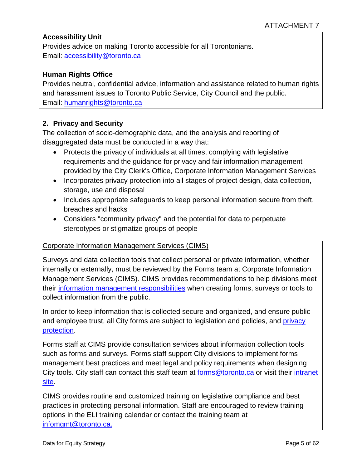#### **Accessibility Unit**

Provides advice on making Toronto accessible for all Torontonians. Email: [accessibility@toronto.ca](mailto:accessibility@toronto.ca)

#### **Human Rights Office**

Provides neutral, confidential advice, information and assistance related to human rights and harassment issues to Toronto Public Service, City Council and the public. Email: [humanrights@toronto.ca](mailto:humanrights@toronto.ca) 

#### **2. Privacy and Security**

The collection of socio-demographic data, and the analysis and reporting of disaggregated data must be conducted in a way that:

- Protects the privacy of individuals at all times, complying with legislative requirements and the guidance for privacy and fair information management provided by the City Clerk's Office, Corporate Information Management Services
- Incorporates privacy protection into all stages of project design, data collection, storage, use and disposal
- Includes appropriate safeguards to keep personal information secure from theft, breaches and hacks
- Considers "community privacy" and the potential for data to perpetuate stereotypes or stigmatize groups of people

#### Corporate Information Management Services (CIMS)

Surveys and data collection tools that collect personal or private information, whether internally or externally, must be reviewed by the Forms team at Corporate Information Management Services (CIMS). CIMS provides recommendations to help divisions meet their [information management responsibilities](https://www.toronto.ca/wp-content/uploads/2018/07/8ec6-information-management-accountability-policy.pdf) when creating forms, surveys or tools to collect information from the public.

In order to keep information that is collected secure and organized, and ensure public and employee trust, all City forms are subject to legislation and policies, and [privacy](http://insideto.toronto.ca/clerks/cims/privacy.htm)  [protection.](http://insideto.toronto.ca/clerks/cims/privacy.htm)

Forms staff at CIMS provide consultation services about information collection tools such as forms and surveys. Forms staff support City divisions to implement forms management best practices and meet legal and policy requirements when designing City tools. City staff can contact this staff team at **forms@toronto.ca** or visit their *intranet* [site.](http://insideto.toronto.ca/clerks/cims/forms/index.htm)

CIMS provides routine and customized training on legislative compliance and best practices in protecting personal information. Staff are encouraged to review training options in the ELI training calendar or contact the training team at [infomgmt@toronto.ca.](mailto:infomgmt@toronto.ca)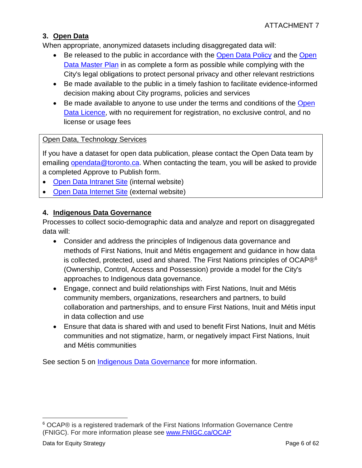#### **3. Open Data**

When appropriate, anonymized datasets including disaggregated data will:

- Be released to the public in accordance with the [Open Data Policy](https://www.toronto.ca/wp-content/uploads/2017/11/969b-open_data_policy.pdf) and the Open [Data Master Plan](https://www.toronto.ca/legdocs/mmis/2018/ex/bgrd/backgroundfile-110740.pdf) in as complete a form as possible while complying with the City's legal obligations to protect personal privacy and other relevant restrictions
- Be made available to the public in a timely fashion to facilitate evidence-informed decision making about City programs, policies and services
- Be made available to anyone to use under the terms and conditions of the [Open](https://www.toronto.ca/city-government/data-research-maps/open-data/open-data-licence/)  [Data Licence,](https://www.toronto.ca/city-government/data-research-maps/open-data/open-data-licence/) with no requirement for registration, no exclusive control, and no license or usage fees

#### Open Data, Technology Services

If you have a dataset for open data publication, please contact the Open Data team by emailing [opendata@toronto.ca.](mailto:opendata@toronto.ca) When contacting the team, you will be asked to provide a completed Approve to Publish form.

- [Open Data Intranet Site](http://insideto.toronto.ca/itweb/policy/opendata/index.html) (internal website)
- [Open Data Internet Site](https://www.toronto.ca/city-government/data-research-maps/open-data/) (external website)

#### **4. Indigenous Data Governance**

Processes to collect socio-demographic data and analyze and report on disaggregated data will:

- Consider and address the principles of Indigenous data governance and methods of First Nations, Inuit and Métis engagement and guidance in how data is collected, protected, used and shared. The First Nations principles of OCAP $\mathbb{R}^6$  $\mathbb{R}^6$ (Ownership, Control, Access and Possession) provide a model for the City's approaches to Indigenous data governance.
- Engage, connect and build relationships with First Nations, Inuit and Métis community members, organizations, researchers and partners, to build collaboration and partnerships, and to ensure First Nations, Inuit and Métis input in data collection and use
- Ensure that data is shared with and used to benefit First Nations, Inuit and Métis communities and not stigmatize, harm, or negatively impact First Nations, Inuit and Métis communities

See section 5 on [Indigenous Data Governance](#page-21-0) for more information.

<span id="page-5-0"></span> $\overline{a}$ <sup>6</sup> OCAP® is a registered trademark of the First Nations Information Governance Centre (FNIGC). For more information please see [www.FNIGC.ca/OCAP](https://fnigc.ca/www.fnigc.ca/OCAP)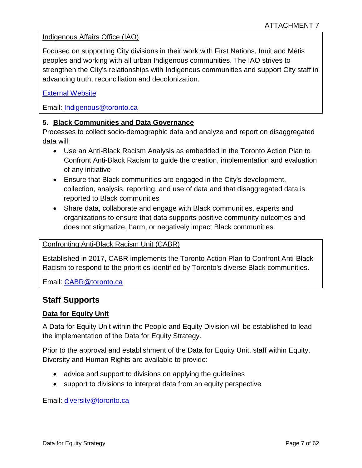#### Indigenous Affairs Office (IAO)

Focused on supporting City divisions in their work with First Nations, Inuit and Métis peoples and working with all urban Indigenous communities. The IAO strives to strengthen the City's relationships with Indigenous communities and support City staff in advancing truth, reconciliation and decolonization.

#### [External Website](https://www.toronto.ca/city-government/accessibility-human-rights/indigenous-affairs-office/)

Email: [Indigenous@toronto.ca](mailto:Indigenous@toronto.ca)

#### **5. Black Communities and Data Governance**

Processes to collect socio-demographic data and analyze and report on disaggregated data will:

- Use an Anti-Black Racism Analysis as embedded in the Toronto Action Plan to Confront Anti-Black Racism to guide the creation, implementation and evaluation of any initiative
- Ensure that Black communities are engaged in the City's development, collection, analysis, reporting, and use of data and that disaggregated data is reported to Black communities
- Share data, collaborate and engage with Black communities, experts and organizations to ensure that data supports positive community outcomes and does not stigmatize, harm, or negatively impact Black communities

#### Confronting Anti-Black Racism Unit (CABR)

Established in 2017, CABR implements the Toronto Action Plan to Confront Anti-Black Racism to respond to the priorities identified by Toronto's diverse Black communities.

Email: [CABR@toronto.ca](mailto:CABR@toronto.ca)

#### **Staff Supports**

#### **Data for Equity Unit**

A Data for Equity Unit within the People and Equity Division will be established to lead the implementation of the Data for Equity Strategy.

Prior to the approval and establishment of the Data for Equity Unit, staff within Equity, Diversity and Human Rights are available to provide:

- advice and support to divisions on applying the guidelines
- support to divisions to interpret data from an equity perspective

Email: [diversity@toronto.ca](mailto:diversity@toronto.ca)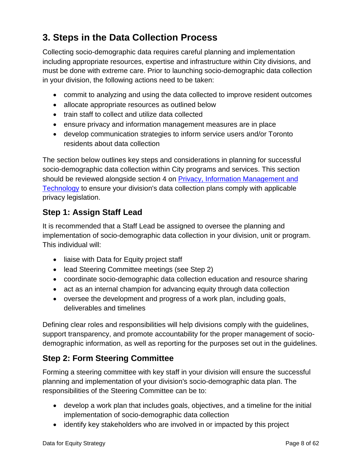# <span id="page-7-0"></span>**3. Steps in the Data Collection Process**

Collecting socio-demographic data requires careful planning and implementation including appropriate resources, expertise and infrastructure within City divisions, and must be done with extreme care. Prior to launching socio-demographic data collection in your division, the following actions need to be taken:

- commit to analyzing and using the data collected to improve resident outcomes
- allocate appropriate resources as outlined below
- train staff to collect and utilize data collected
- ensure privacy and information management measures are in place
- develop communication strategies to inform service users and/or Toronto residents about data collection

The section below outlines key steps and considerations in planning for successful socio-demographic data collection within City programs and services. This section should be reviewed alongside section 4 on [Privacy, Information Management and](#page-15-0)  [Technology](#page-15-0) to ensure your division's data collection plans comply with applicable privacy legislation.

## **Step 1: Assign Staff Lead**

It is recommended that a Staff Lead be assigned to oversee the planning and implementation of socio-demographic data collection in your division, unit or program. This individual will:

- liaise with Data for Equity project staff
- lead Steering Committee meetings (see Step 2)
- coordinate socio-demographic data collection education and resource sharing
- act as an internal champion for advancing equity through data collection
- oversee the development and progress of a work plan, including goals, deliverables and timelines

Defining clear roles and responsibilities will help divisions comply with the guidelines, support transparency, and promote accountability for the proper management of sociodemographic information, as well as reporting for the purposes set out in the guidelines.

## **Step 2: Form Steering Committee**

Forming a steering committee with key staff in your division will ensure the successful planning and implementation of your division's socio-demographic data plan. The responsibilities of the Steering Committee can be to:

- develop a work plan that includes goals, objectives, and a timeline for the initial implementation of socio-demographic data collection
- identify key stakeholders who are involved in or impacted by this project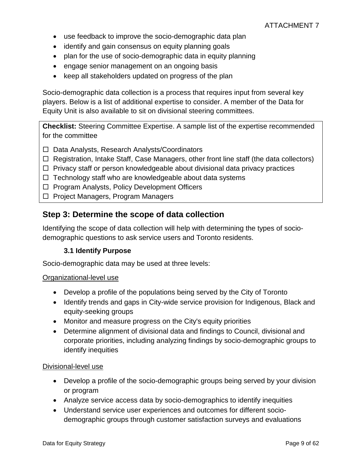- use feedback to improve the socio-demographic data plan
- identify and gain consensus on equity planning goals
- plan for the use of socio-demographic data in equity planning
- engage senior management on an ongoing basis
- keep all stakeholders updated on progress of the plan

Socio-demographic data collection is a process that requires input from several key players. Below is a list of additional expertise to consider. A member of the Data for Equity Unit is also available to sit on divisional steering committees.

**Checklist:** Steering Committee Expertise. A sample list of the expertise recommended for the committee

- □ Data Analysts, Research Analysts/Coordinators
- $\Box$  Registration, Intake Staff, Case Managers, other front line staff (the data collectors)
- $\Box$  Privacy staff or person knowledgeable about divisional data privacy practices
- $\Box$  Technology staff who are knowledgeable about data systems
- $\Box$  Program Analysts, Policy Development Officers
- $\Box$  Project Managers, Program Managers

#### **Step 3: Determine the scope of data collection**

Identifying the scope of data collection will help with determining the types of sociodemographic questions to ask service users and Toronto residents.

#### **3.1 Identify Purpose**

Socio-demographic data may be used at three levels:

#### Organizational-level use

- Develop a profile of the populations being served by the City of Toronto
- Identify trends and gaps in City-wide service provision for Indigenous, Black and equity-seeking groups
- Monitor and measure progress on the City's equity priorities
- Determine alignment of divisional data and findings to Council, divisional and corporate priorities, including analyzing findings by socio-demographic groups to identify inequities

#### Divisional-level use

- Develop a profile of the socio-demographic groups being served by your division or program
- Analyze service access data by socio-demographics to identify inequities
- Understand service user experiences and outcomes for different sociodemographic groups through customer satisfaction surveys and evaluations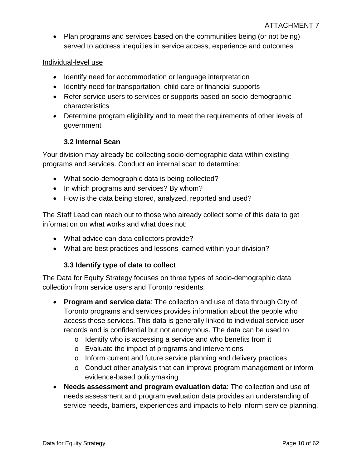• Plan programs and services based on the communities being (or not being) served to address inequities in service access, experience and outcomes

#### Individual-level use

- Identify need for accommodation or language interpretation
- Identify need for transportation, child care or financial supports
- Refer service users to services or supports based on socio-demographic characteristics
- Determine program eligibility and to meet the requirements of other levels of government

#### **3.2 Internal Scan**

Your division may already be collecting socio-demographic data within existing programs and services. Conduct an internal scan to determine:

- What socio-demographic data is being collected?
- In which programs and services? By whom?
- How is the data being stored, analyzed, reported and used?

The Staff Lead can reach out to those who already collect some of this data to get information on what works and what does not:

- What advice can data collectors provide?
- What are best practices and lessons learned within your division?

#### **3.3 Identify type of data to collect**

<span id="page-9-0"></span>The Data for Equity Strategy focuses on three types of socio-demographic data collection from service users and Toronto residents:

- **Program and service data**: The collection and use of data through City of Toronto programs and services provides information about the people who access those services. This data is generally linked to individual service user records and is confidential but not anonymous. The data can be used to:
	- o Identify who is accessing a service and who benefits from it
	- o Evaluate the impact of programs and interventions
	- o Inform current and future service planning and delivery practices
	- o Conduct other analysis that can improve program management or inform evidence-based policymaking
- **Needs assessment and program evaluation data**: The collection and use of needs assessment and program evaluation data provides an understanding of service needs, barriers, experiences and impacts to help inform service planning.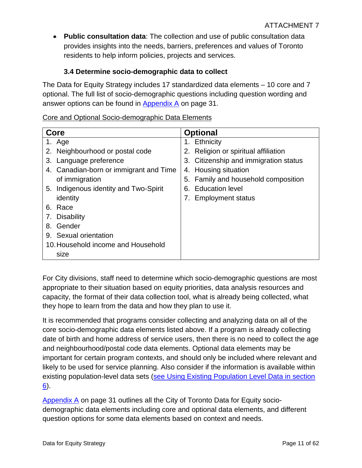• **Public consultation data**: The collection and use of public consultation data provides insights into the needs, barriers, preferences and values of Toronto residents to help inform policies, projects and services.

### **3.4 Determine socio-demographic data to collect**

The Data for Equity Strategy includes 17 standardized data elements – 10 core and 7 optional. The full list of socio-demographic questions including question wording and answer options can be found in  $\Delta$ ppendix  $\Delta$  on page 31.

|  |  |  | Core and Optional Socio-demographic Data Elements |
|--|--|--|---------------------------------------------------|
|  |  |  |                                                   |

| Core                                      | <b>Optional</b>                         |
|-------------------------------------------|-----------------------------------------|
| 1. Age                                    | 1. Ethnicity                            |
| Neighbourhood or postal code<br>2.        | Religion or spiritual affiliation<br>2. |
| Language preference<br>3.                 | 3. Citizenship and immigration status   |
| Canadian-born or immigrant and Time<br>4. | 4. Housing situation                    |
| of immigration                            | 5. Family and household composition     |
| 5. Indigenous identity and Two-Spirit     | <b>Education level</b><br>6.            |
| identity                                  | <b>Employment status</b>                |
| Race<br>6.                                |                                         |
| <b>Disability</b><br>7.                   |                                         |
| Gender<br>8.                              |                                         |
| 9. Sexual orientation                     |                                         |
| 10. Household income and Household        |                                         |
| size                                      |                                         |

For City divisions, staff need to determine which socio-demographic questions are most appropriate to their situation based on equity priorities, data analysis resources and capacity, the format of their data collection tool, what is already being collected, what they hope to learn from the data and how they plan to use it.

It is recommended that programs consider collecting and analyzing data on all of the core socio-demographic data elements listed above. If a program is already collecting date of birth and home address of service users, then there is no need to collect the age and neighbourhood/postal code data elements. Optional data elements may be important for certain program contexts, and should only be included where relevant and likely to be used for service planning. Also consider if the information is available within existing population-level data sets [\(see Using Existing Population Level Data in section](#page-25-0)   $\underline{6}$ ).

[Appendix A](#page-30-0) on page 31 outlines all the City of Toronto Data for Equity sociodemographic data elements including core and optional data elements, and different question options for some data elements based on context and needs.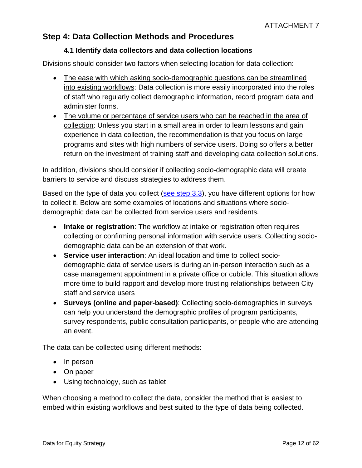## **Step 4: Data Collection Methods and Procedures**

#### **4.1 Identify data collectors and data collection locations**

Divisions should consider two factors when selecting location for data collection:

- The ease with which asking socio-demographic questions can be streamlined into existing workflows: Data collection is more easily incorporated into the roles of staff who regularly collect demographic information, record program data and administer forms.
- The volume or percentage of service users who can be reached in the area of collection: Unless you start in a small area in order to learn lessons and gain experience in data collection, the recommendation is that you focus on large programs and sites with high numbers of service users. Doing so offers a better return on the investment of training staff and developing data collection solutions.

In addition, divisions should consider if collecting socio-demographic data will create barriers to service and discuss strategies to address them.

Based on the type of data you collect [\(see step 3.3\)](#page-9-0), you have different options for how to collect it. Below are some examples of locations and situations where sociodemographic data can be collected from service users and residents.

- **Intake or registration**: The workflow at intake or registration often requires collecting or confirming personal information with service users. Collecting sociodemographic data can be an extension of that work.
- **Service user interaction**: An ideal location and time to collect sociodemographic data of service users is during an in-person interaction such as a case management appointment in a private office or cubicle. This situation allows more time to build rapport and develop more trusting relationships between City staff and service users
- **Surveys (online and paper-based)**: Collecting socio-demographics in surveys can help you understand the demographic profiles of program participants, survey respondents, public consultation participants, or people who are attending an event.

The data can be collected using different methods:

- In person
- On paper
- Using technology, such as tablet

When choosing a method to collect the data, consider the method that is easiest to embed within existing workflows and best suited to the type of data being collected.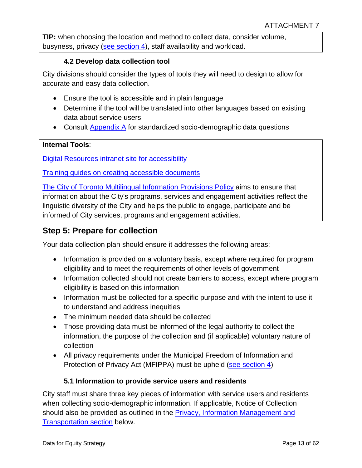**TIP:** when choosing the location and method to collect data, consider volume, busyness, privacy [\(see section 4\)](#page-15-0), staff availability and workload.

#### **4.2 Develop data collection tool**

City divisions should consider the types of tools they will need to design to allow for accurate and easy data collection.

- Ensure the tool is accessible and in plain language
- Determine if the tool will be translated into other languages based on existing data about service users
- Consult [Appendix A](#page-30-0) for standardized socio-demographic data questions

#### **Internal Tools**:

[Digital Resources intranet site for accessibility](http://insideto.toronto.ca/digital-services/accessibility/pdfs-other-documents.html)

[Training guides on creating accessible documents](http://insideto.toronto.ca/itweb/training-resources/guides.html#details-panel3)

[The City of Toronto Multilingual Information Provisions Policy](http://insideto.toronto.ca/strategic_comm/mlp/index.htm) aims to ensure that information about the City's programs, services and engagement activities reflect the linguistic diversity of the City and helps the public to engage, participate and be informed of City services, programs and engagement activities.

### **Step 5: Prepare for collection**

Your data collection plan should ensure it addresses the following areas:

- Information is provided on a voluntary basis, except where required for program eligibility and to meet the requirements of other levels of government
- Information collected should not create barriers to access, except where program eligibility is based on this information
- Information must be collected for a specific purpose and with the intent to use it to understand and address inequities
- The minimum needed data should be collected
- Those providing data must be informed of the legal authority to collect the information, the purpose of the collection and (if applicable) voluntary nature of collection
- All privacy requirements under the Municipal Freedom of Information and Protection of Privacy Act (MFIPPA) must be upheld [\(see section 4\)](#page-15-0)

#### **5.1 Information to provide service users and residents**

City staff must share three key pieces of information with service users and residents when collecting socio-demographic information. If applicable, Notice of Collection should also be provided as outlined in the [Privacy, Information Management and](#page-15-0)  **[Transportation section](#page-15-0) below.**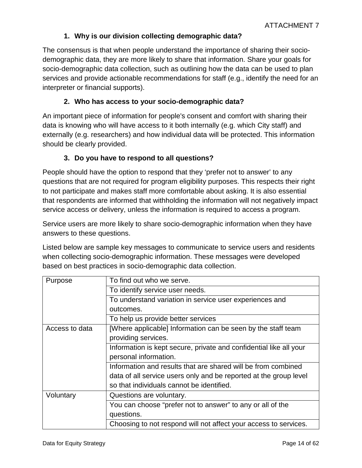#### **1. Why is our division collecting demographic data?**

The consensus is that when people understand the importance of sharing their sociodemographic data, they are more likely to share that information. Share your goals for socio-demographic data collection, such as outlining how the data can be used to plan services and provide actionable recommendations for staff (e.g., identify the need for an interpreter or financial supports).

#### **2. Who has access to your socio-demographic data?**

An important piece of information for people's consent and comfort with sharing their data is knowing who will have access to it both internally (e.g. which City staff) and externally (e.g. researchers) and how individual data will be protected. This information should be clearly provided.

#### **3. Do you have to respond to all questions?**

People should have the option to respond that they 'prefer not to answer' to any questions that are not required for program eligibility purposes. This respects their right to not participate and makes staff more comfortable about asking. It is also essential that respondents are informed that withholding the information will not negatively impact service access or delivery, unless the information is required to access a program.

Service users are more likely to share socio-demographic information when they have answers to these questions.

Listed below are sample key messages to communicate to service users and residents when collecting socio-demographic information. These messages were developed based on best practices in socio-demographic data collection.

| Purpose        | To find out who we serve.                                          |
|----------------|--------------------------------------------------------------------|
|                | To identify service user needs.                                    |
|                | To understand variation in service user experiences and            |
|                | outcomes.                                                          |
|                | To help us provide better services                                 |
| Access to data | [Where applicable] Information can be seen by the staff team       |
|                | providing services.                                                |
|                | Information is kept secure, private and confidential like all your |
|                | personal information.                                              |
|                | Information and results that are shared will be from combined      |
|                | data of all service users only and be reported at the group level  |
|                | so that individuals cannot be identified.                          |
| Voluntary      | Questions are voluntary.                                           |
|                | You can choose "prefer not to answer" to any or all of the         |
|                | questions.                                                         |
|                | Choosing to not respond will not affect your access to services.   |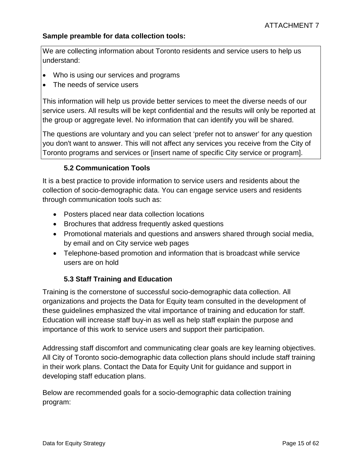#### **Sample preamble for data collection tools:**

We are collecting information about Toronto residents and service users to help us understand:

- Who is using our services and programs
- The needs of service users

This information will help us provide better services to meet the diverse needs of our service users. All results will be kept confidential and the results will only be reported at the group or aggregate level. No information that can identify you will be shared.

The questions are voluntary and you can select 'prefer not to answer' for any question you don't want to answer. This will not affect any services you receive from the City of Toronto programs and services or [insert name of specific City service or program].

#### **5.2 Communication Tools**

It is a best practice to provide information to service users and residents about the collection of socio-demographic data. You can engage service users and residents through communication tools such as:

- Posters placed near data collection locations
- Brochures that address frequently asked questions
- Promotional materials and questions and answers shared through social media, by email and on City service web pages
- Telephone-based promotion and information that is broadcast while service users are on hold

#### **5.3 Staff Training and Education**

Training is the cornerstone of successful socio-demographic data collection. All organizations and projects the Data for Equity team consulted in the development of these guidelines emphasized the vital importance of training and education for staff. Education will increase staff buy-in as well as help staff explain the purpose and importance of this work to service users and support their participation.

Addressing staff discomfort and communicating clear goals are key learning objectives. All City of Toronto socio-demographic data collection plans should include staff training in their work plans. Contact the Data for Equity Unit for guidance and support in developing staff education plans.

Below are recommended goals for a socio-demographic data collection training program: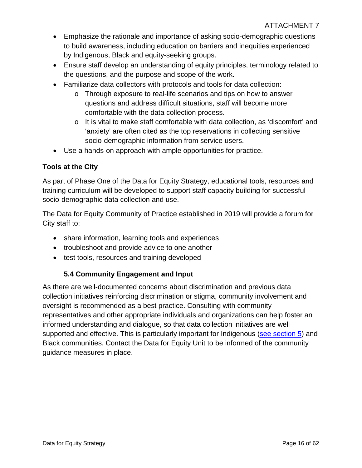- Emphasize the rationale and importance of asking socio-demographic questions to build awareness, including education on barriers and inequities experienced by Indigenous, Black and equity-seeking groups.
- Ensure staff develop an understanding of equity principles, terminology related to the questions, and the purpose and scope of the work.
- Familiarize data collectors with protocols and tools for data collection:
	- o Through exposure to real-life scenarios and tips on how to answer questions and address difficult situations, staff will become more comfortable with the data collection process.
	- $\circ$  It is vital to make staff comfortable with data collection, as 'discomfort' and 'anxiety' are often cited as the top reservations in collecting sensitive socio-demographic information from service users.
- Use a hands-on approach with ample opportunities for practice.

#### **Tools at the City**

As part of Phase One of the Data for Equity Strategy, educational tools, resources and training curriculum will be developed to support staff capacity building for successful socio-demographic data collection and use.

The Data for Equity Community of Practice established in 2019 will provide a forum for City staff to:

- share information, learning tools and experiences
- troubleshoot and provide advice to one another
- test tools, resources and training developed

#### <span id="page-15-0"></span>**5.4 Community Engagement and Input**

As there are well-documented concerns about discrimination and previous data collection initiatives reinforcing discrimination or stigma, community involvement and oversight is recommended as a best practice. Consulting with community representatives and other appropriate individuals and organizations can help foster an informed understanding and dialogue, so that data collection initiatives are well supported and effective. This is particularly important for Indigenous [\(see section 5\)](#page-21-0) and Black communities. Contact the Data for Equity Unit to be informed of the community guidance measures in place.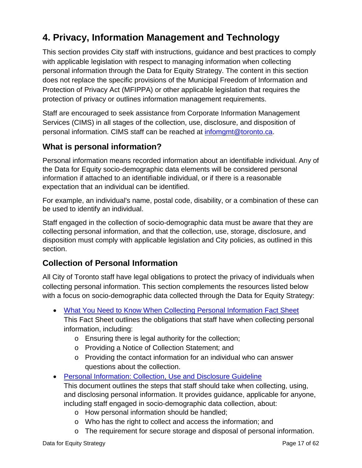# **4. Privacy, Information Management and Technology**

This section provides City staff with instructions, guidance and best practices to comply with applicable legislation with respect to managing information when collecting personal information through the Data for Equity Strategy. The content in this section does not replace the specific provisions of the Municipal Freedom of Information and Protection of Privacy Act (MFIPPA) or other applicable legislation that requires the protection of privacy or outlines information management requirements.

Staff are encouraged to seek assistance from Corporate Information Management Services (CIMS) in all stages of the collection, use, disclosure, and disposition of personal information. CIMS staff can be reached at [infomgmt@toronto.ca.](mailto:infomgmt@toronto.ca)

## **What is personal information?**

Personal information means recorded information about an identifiable individual. Any of the Data for Equity socio-demographic data elements will be considered personal information if attached to an identifiable individual, or if there is a reasonable expectation that an individual can be identified.

For example, an individual's name, postal code, disability, or a combination of these can be used to identify an individual.

Staff engaged in the collection of socio-demographic data must be aware that they are collecting personal information, and that the collection, use, storage, disclosure, and disposition must comply with applicable legislation and City policies, as outlined in this section.

## **Collection of Personal Information**

All City of Toronto staff have legal obligations to protect the privacy of individuals when collecting personal information. This section complements the resources listed below with a focus on socio-demographic data collected through the Data for Equity Strategy:

- [What You Need to Know When Collecting Personal Information](http://insideto.toronto.ca/clerks/pdf/fact-sheet-collecting-personal-information.pdf) Fact Sheet
	- This Fact Sheet outlines the obligations that staff have when collecting personal information, including:
		- o Ensuring there is legal authority for the collection;
		- o Providing a Notice of Collection Statement; and
		- o Providing the contact information for an individual who can answer questions about the collection.
- [Personal Information: Collection, Use and Disclosure](http://insideto.toronto.ca/clerks/policies/files/personal-information-collection.pdf) Guideline This document outlines the steps that staff should take when collecting, using, and disclosing personal information. It provides guidance, applicable for anyone, including staff engaged in socio-demographic data collection, about:
	- o How personal information should be handled;
	- o Who has the right to collect and access the information; and
	- o The requirement for secure storage and disposal of personal information.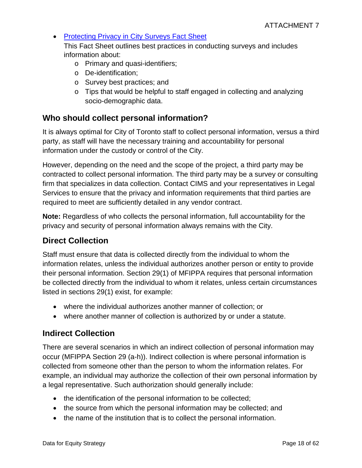#### • [Protecting Privacy in City Surveys](http://insideto.toronto.ca/clerks/policies/files/privacy-city-surveys.pdf) Fact Sheet This Fact Sheet outlines best practices in conducting surveys and includes information about:

- o Primary and quasi-identifiers;
- o De-identification;
- o Survey best practices; and
- o Tips that would be helpful to staff engaged in collecting and analyzing socio-demographic data.

## **Who should collect personal information?**

It is always optimal for City of Toronto staff to collect personal information, versus a third party, as staff will have the necessary training and accountability for personal information under the custody or control of the City.

However, depending on the need and the scope of the project, a third party may be contracted to collect personal information. The third party may be a survey or consulting firm that specializes in data collection. Contact CIMS and your representatives in Legal Services to ensure that the privacy and information requirements that third parties are required to meet are sufficiently detailed in any vendor contract.

**Note:** Regardless of who collects the personal information, full accountability for the privacy and security of personal information always remains with the City.

## **Direct Collection**

Staff must ensure that data is collected directly from the individual to whom the information relates, unless the individual authorizes another person or entity to provide their personal information. Section 29(1) of MFIPPA requires that personal information be collected directly from the individual to whom it relates, unless certain circumstances listed in sections 29(1) exist, for example:

- where the individual authorizes another manner of collection; or
- where another manner of collection is authorized by or under a statute.

## **Indirect Collection**

There are several scenarios in which an indirect collection of personal information may occur (MFIPPA Section 29 (a-h)). Indirect collection is where personal information is collected from someone other than the person to whom the information relates. For example, an individual may authorize the collection of their own personal information by a legal representative. Such authorization should generally include:

- the identification of the personal information to be collected;
- the source from which the personal information may be collected; and
- the name of the institution that is to collect the personal information.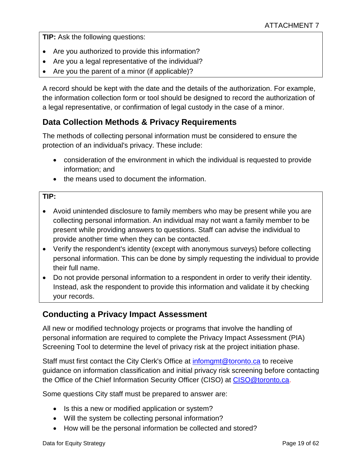**TIP:** Ask the following questions:

- Are you authorized to provide this information?
- Are you a legal representative of the individual?
- Are you the parent of a minor (if applicable)?

A record should be kept with the date and the details of the authorization. For example, the information collection form or tool should be designed to record the authorization of a legal representative, or confirmation of legal custody in the case of a minor.

## **Data Collection Methods & Privacy Requirements**

The methods of collecting personal information must be considered to ensure the protection of an individual's privacy. These include:

- consideration of the environment in which the individual is requested to provide information; and
- the means used to document the information.

#### **TIP:**

- Avoid unintended disclosure to family members who may be present while you are collecting personal information. An individual may not want a family member to be present while providing answers to questions. Staff can advise the individual to provide another time when they can be contacted.
- Verify the respondent's identity (except with anonymous surveys) before collecting personal information. This can be done by simply requesting the individual to provide their full name.
- Do not provide personal information to a respondent in order to verify their identity. Instead, ask the respondent to provide this information and validate it by checking your records.

## **Conducting a Privacy Impact Assessment**

All new or modified technology projects or programs that involve the handling of personal information are required to complete the Privacy Impact Assessment (PIA) Screening Tool to determine the level of privacy risk at the project initiation phase.

Staff must first contact the City Clerk's Office at [infomgmt@toronto.ca](mailto:infomgmt@toronto.ca) to receive guidance on information classification and initial privacy risk screening before contacting the Office of the Chief Information Security Officer (CISO) at [CISO@toronto.ca.](mailto:CISO@toronto.ca)

Some questions City staff must be prepared to answer are:

- Is this a new or modified application or system?
- Will the system be collecting personal information?
- How will be the personal information be collected and stored?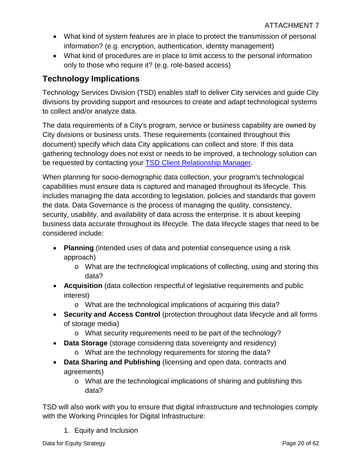- What kind of system features are in place to protect the transmission of personal information? (e.g. encryption, authentication, identity management)
- What kind of procedures are in place to limit access to the personal information only to those who require it? (e.g. role-based access)

## **Technology Implications**

Technology Services Division (TSD) enables staff to deliver City services and guide City divisions by providing support and resources to create and adapt technological systems to collect and/or analyze data.

The data requirements of a City's program, service or business capability are owned by City divisions or business units. These requirements (contained throughout this document) specify which data City applications can collect and store. If this data gathering technology does not exist or needs to be improved, a technology solution can be requested by contacting your [TSD Client Relationship Manager.](http://insideto.toronto.ca/itweb/support/it-services/client-relationship-management/index.html)

When planning for socio-demographic data collection, your program's technological capabilities must ensure data is captured and managed throughout its lifecycle. This includes managing the data according to legislation, policies and standards that govern the data. Data Governance is the process of managing the quality, consistency, security, usability, and availability of data across the enterprise. It is about keeping business data accurate throughout its lifecycle. The data lifecycle stages that need to be considered include:

- **Planning** (intended uses of data and potential consequence using a risk approach)
	- o What are the technological implications of collecting, using and storing this data?
- **Acquisition** (data collection respectful of legislative requirements and public interest)
	- o What are the technological implications of acquiring this data?
- **Security and Access Control** (protection throughout data lifecycle and all forms of storage media)
	- o What security requirements need to be part of the technology?
- **Data Storage** (storage considering data sovereignty and residency)
	- o What are the technology requirements for storing the data?
- **Data Sharing and Publishing** (licensing and open data, contracts and agreements)
	- o What are the technological implications of sharing and publishing this data?

TSD will also work with you to ensure that digital infrastructure and technologies comply with the Working Principles for Digital Infrastructure:

1. Equity and Inclusion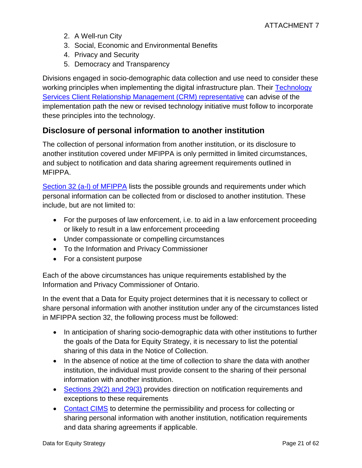- 2. A Well-run City
- 3. Social, Economic and Environmental Benefits
- 4. Privacy and Security
- 5. Democracy and Transparency

Divisions engaged in socio-demographic data collection and use need to consider these working principles when implementing the digital infrastructure plan. Their Technology [Services Client Relationship Management \(CRM\) representative](http://insideto.toronto.ca/itweb/support/it-services/client-relationship-management/index.html) can advise of the implementation path the new or revised technology initiative must follow to incorporate these principles into the technology.

## **Disclosure of personal information to another institution**

The collection of personal information from another institution, or its disclosure to another institution covered under MFIPPA is only permitted in limited circumstances, and subject to notification and data sharing agreement requirements outlined in MFIPPA.

[Section 32 \(a-l\) of MFIPPA](https://www.ontario.ca/laws/statute/90m56#BK44) lists the possible grounds and requirements under which personal information can be collected from or disclosed to another institution. These include, but are not limited to:

- For the purposes of law enforcement, i.e. to aid in a law enforcement proceeding or likely to result in a law enforcement proceeding
- Under compassionate or compelling circumstances
- To the Information and Privacy Commissioner
- For a consistent purpose

Each of the above circumstances has unique requirements established by the Information and Privacy Commissioner of Ontario.

In the event that a Data for Equity project determines that it is necessary to collect or share personal information with another institution under any of the circumstances listed in MFIPPA section 32, the following process must be followed:

- In anticipation of sharing socio-demographic data with other institutions to further the goals of the Data for Equity Strategy, it is necessary to list the potential sharing of this data in the Notice of Collection.
- In the absence of notice at the time of collection to share the data with another institution, the individual must provide consent to the sharing of their personal information with another institution.
- [Sections 29\(2\) and 29\(3\)](https://www.ontario.ca/laws/statute/90m56#BK40) provides direction on notification requirements and exceptions to these requirements
- [Contact CIMS](mailto:infomgmt@toronto.ca) to determine the permissibility and process for collecting or sharing personal information with another institution, notification requirements and data sharing agreements if applicable.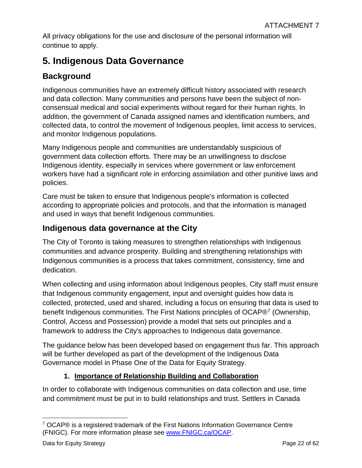All privacy obligations for the use and disclosure of the personal information will continue to apply.

## <span id="page-21-0"></span>**5. Indigenous Data Governance**

## **Background**

Indigenous communities have an extremely difficult history associated with research and data collection. Many communities and persons have been the subject of nonconsensual medical and social experiments without regard for their human rights. In addition, the government of Canada assigned names and identification numbers, and collected data, to control the movement of Indigenous peoples, limit access to services, and monitor Indigenous populations.

Many Indigenous people and communities are understandably suspicious of government data collection efforts. There may be an unwillingness to disclose Indigenous identity, especially in services where government or law enforcement workers have had a significant role in enforcing assimilation and other punitive laws and policies.

Care must be taken to ensure that Indigenous people's information is collected according to appropriate policies and protocols, and that the information is managed and used in ways that benefit Indigenous communities.

## **Indigenous data governance at the City**

The City of Toronto is taking measures to strengthen relationships with Indigenous communities and advance prosperity. Building and strengthening relationships with Indigenous communities is a process that takes commitment, consistency, time and dedication.

When collecting and using information about Indigenous peoples, City staff must ensure that Indigenous community engagement, input and oversight guides how data is collected, protected, used and shared, including a focus on ensuring that data is used to benefit Indigenous communities. The First Nations principles of OCAP®[7](#page-21-1) (Ownership, Control, Access and Possession) provide a model that sets out principles and a framework to address the City's approaches to Indigenous data governance.

The guidance below has been developed based on engagement thus far. This approach will be further developed as part of the development of the Indigenous Data Governance model in Phase One of the Data for Equity Strategy.

### **1. Importance of Relationship Building and Collaboration**

In order to collaborate with Indigenous communities on data collection and use, time and commitment must be put in to build relationships and trust. Settlers in Canada

<span id="page-21-1"></span> $\overline{a}$  $7$  OCAP® is a registered trademark of the First Nations Information Governance Centre (FNIGC). For more information please see [www.FNIGC.ca/OCAP.](http://www.fnigc.ca/OCAP)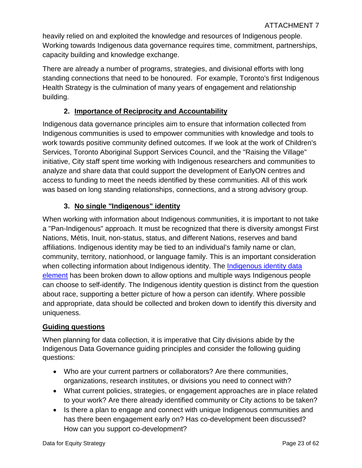heavily relied on and exploited the knowledge and resources of Indigenous people. Working towards Indigenous data governance requires time, commitment, partnerships, capacity building and knowledge exchange.

There are already a number of programs, strategies, and divisional efforts with long standing connections that need to be honoured. For example, Toronto's first Indigenous Health Strategy is the culmination of many years of engagement and relationship building.

#### **2. Importance of Reciprocity and Accountability**

Indigenous data governance principles aim to ensure that information collected from Indigenous communities is used to empower communities with knowledge and tools to work towards positive community defined outcomes. If we look at the work of Children's Services, Toronto Aboriginal Support Services Council, and the "Raising the Village" initiative, City staff spent time working with Indigenous researchers and communities to analyze and share data that could support the development of EarlyON centres and access to funding to meet the needs identified by these communities. All of this work was based on long standing relationships, connections, and a strong advisory group.

#### **3. No single "Indigenous" identity**

When working with information about Indigenous communities, it is important to not take a "Pan-Indigenous" approach. It must be recognized that there is diversity amongst First Nations, Métis, Inuit, non-status, status, and different Nations, reserves and band affiliations. Indigenous identity may be tied to an individual's family name or clan, community, territory, nationhood, or language family. This is an important consideration when collecting information about Indigenous identity. The Indigenous identity data [element](#page-40-0) has been broken down to allow options and multiple ways Indigenous people can choose to self-identify. The Indigenous identity question is distinct from the question about race, supporting a better picture of how a person can identify. Where possible and appropriate, data should be collected and broken down to identify this diversity and uniqueness.

#### **Guiding questions**

When planning for data collection, it is imperative that City divisions abide by the Indigenous Data Governance guiding principles and consider the following guiding questions:

- Who are your current partners or collaborators? Are there communities, organizations, research institutes, or divisions you need to connect with?
- What current policies, strategies, or engagement approaches are in place related to your work? Are there already identified community or City actions to be taken?
- Is there a plan to engage and connect with unique Indigenous communities and has there been engagement early on? Has co-development been discussed? How can you support co-development?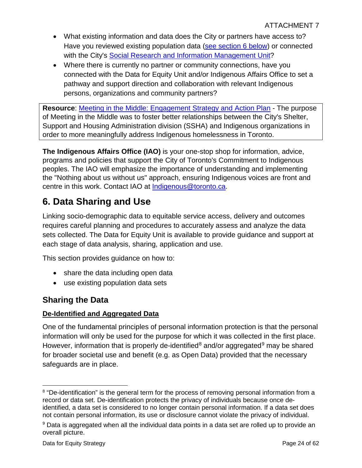- What existing information and data does the City or partners have access to? Have you reviewed existing population data [\(see section 6 below\)](#page-25-0) or connected with the City's Social Research and [Information Management Unit?](mailto:spar@toronto.ca)
- Where there is currently no partner or community connections, have you connected with the Data for Equity Unit and/or Indigenous Affairs Office to set a pathway and support direction and collaboration with relevant Indigenous persons, organizations and community partners?

**Resource**: [Meeting in the Middle: Engagement Strategy and Action Plan](https://www.toronto.ca/wp-content/uploads/2018/09/8eeb-SSHA-Meeting-in-the-Middle.pdf) - The purpose of Meeting in the Middle was to foster better relationships between the City's Shelter, Support and Housing Administration division (SSHA) and Indigenous organizations in order to more meaningfully address Indigenous homelessness in Toronto.

**The Indigenous Affairs Office (IAO)** is your one-stop shop for information, advice, programs and policies that support the City of Toronto's Commitment to Indigenous peoples. The IAO will emphasize the importance of understanding and implementing the "Nothing about us without us" approach, ensuring Indigenous voices are front and centre in this work. Contact IAO at [Indigenous@toronto.ca.](mailto:Indigenous@toronto.ca)

# <span id="page-23-0"></span>**6. Data Sharing and Use**

Linking socio-demographic data to equitable service access, delivery and outcomes requires careful planning and procedures to accurately assess and analyze the data sets collected. The Data for Equity Unit is available to provide guidance and support at each stage of data analysis, sharing, application and use.

This section provides guidance on how to:

- share the data including open data
- use existing population data sets

## **Sharing the Data**

#### **De-Identified and Aggregated Data**

One of the fundamental principles of personal information protection is that the personal information will only be used for the purpose for which it was collected in the first place. However, information that is properly de-identified<sup>[8](#page-23-1)</sup> and/or aggregated<sup>[9](#page-23-2)</sup> may be shared for broader societal use and benefit (e.g. as Open Data) provided that the necessary safeguards are in place.

<span id="page-23-1"></span> $\overline{a}$ <sup>8</sup> "De-identification" is the general term for the process of removing personal information from a record or data set. De-identification protects the privacy of individuals because once deidentified, a data set is considered to no longer contain personal information. If a data set does not contain personal information, its use or disclosure cannot violate the privacy of individual.

<span id="page-23-2"></span><sup>&</sup>lt;sup>9</sup> Data is aggregated when all the individual data points in a data set are rolled up to provide an overall picture.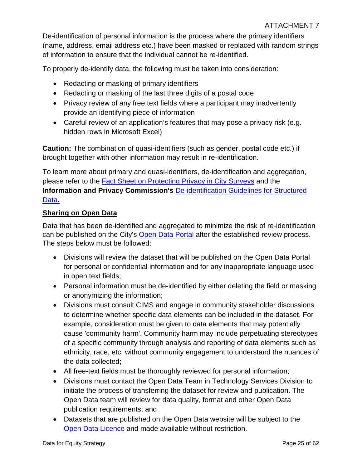De-identification of personal information is the process where the primary identifiers (name, address, email address etc.) have been masked or replaced with random strings of information to ensure that the individual cannot be re-identified.

To properly de-identify data, the following must be taken into consideration:

- Redacting or masking of primary identifiers
- Redacting or masking of the last three digits of a postal code
- Privacy review of any free text fields where a participant may inadvertently provide an identifying piece of information
- Careful review of an application's features that may pose a privacy risk (e.g. hidden rows in Microsoft Excel)

**Caution:** The combination of quasi-identifiers (such as gender, postal code etc.) if brought together with other information may result in re-identification.

To learn more about primary and quasi-identifiers, de-identification and aggregation, please refer to the [Fact Sheet on Protecting Privacy in City Surveys](http://insideto.toronto.ca/clerks/policies/files/privacy-city-surveys.pdf) and the **Information and Privacy Commission's** [De-identification Guidelines for Structured](https://www.ipc.on.ca/wp-content/uploads/2016/08/Deidentification-Guidelines-for-Structured-Data.pdf)  [Data](https://www.ipc.on.ca/wp-content/uploads/2016/08/Deidentification-Guidelines-for-Structured-Data.pdf)**.** 

#### **Sharing on Open Data**

Data that has been de-identified and aggregated to minimize the risk of re-identification can be published on the City's [Open Data Portal](https://open.toronto.ca/) after the established review process. The steps below must be followed:

- Divisions will review the dataset that will be published on the Open Data Portal for personal or confidential information and for any inappropriate language used in open text fields;
- Personal information must be de-identified by either deleting the field or masking or anonymizing the information;
- Divisions must consult CIMS and engage in community stakeholder discussions to determine whether specific data elements can be included in the dataset. For example, consideration must be given to data elements that may potentially cause 'community harm'. Community harm may include perpetuating stereotypes of a specific community through analysis and reporting of data elements such as ethnicity, race, etc. without community engagement to understand the nuances of the data collected;
- All free-text fields must be thoroughly reviewed for personal information;
- Divisions must contact the Open Data Team in Technology Services Division to initiate the process of transferring the dataset for review and publication. The Open Data team will review for data quality, format and other Open Data publication requirements; and
- Datasets that are published on the Open Data website will be subject to the [Open Data Licence](https://www.toronto.ca/city-government/data-research-maps/open-data/open-data-licence/) and made available without restriction.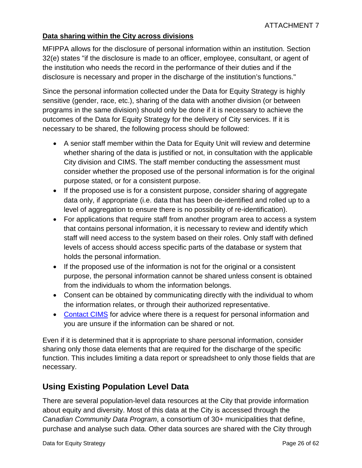#### **Data sharing within the City across divisions**

MFIPPA allows for the disclosure of personal information within an institution. Section 32(e) states "if the disclosure is made to an officer, employee, consultant, or agent of the institution who needs the record in the performance of their duties and if the disclosure is necessary and proper in the discharge of the institution's functions."

Since the personal information collected under the Data for Equity Strategy is highly sensitive (gender, race, etc.), sharing of the data with another division (or between programs in the same division) should only be done if it is necessary to achieve the outcomes of the Data for Equity Strategy for the delivery of City services. If it is necessary to be shared, the following process should be followed:

- A senior staff member within the Data for Equity Unit will review and determine whether sharing of the data is justified or not, in consultation with the applicable City division and CIMS. The staff member conducting the assessment must consider whether the proposed use of the personal information is for the original purpose stated, or for a consistent purpose.
- If the proposed use is for a consistent purpose, consider sharing of aggregate data only, if appropriate (i.e. data that has been de-identified and rolled up to a level of aggregation to ensure there is no possibility of re-identification).
- For applications that require staff from another program area to access a system that contains personal information, it is necessary to review and identify which staff will need access to the system based on their roles. Only staff with defined levels of access should access specific parts of the database or system that holds the personal information.
- If the proposed use of the information is not for the original or a consistent purpose, the personal information cannot be shared unless consent is obtained from the individuals to whom the information belongs.
- Consent can be obtained by communicating directly with the individual to whom the information relates, or through their authorized representative.
- [Contact](mailto:infomgmt@toronto.ca) CIMS for advice where there is a request for personal information and you are unsure if the information can be shared or not.

Even if it is determined that it is appropriate to share personal information, consider sharing only those data elements that are required for the discharge of the specific function. This includes limiting a data report or spreadsheet to only those fields that are necessary.

## <span id="page-25-0"></span>**Using Existing Population Level Data**

There are several population-level data resources at the City that provide information about equity and diversity. Most of this data at the City is accessed through the *Canadian Community Data Program*, a consortium of 30+ municipalities that define, purchase and analyse such data. Other data sources are shared with the City through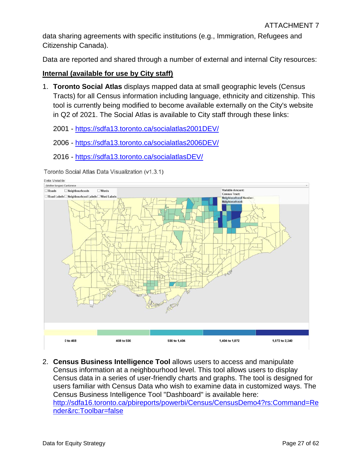data sharing agreements with specific institutions (e.g., Immigration, Refugees and Citizenship Canada).

Data are reported and shared through a number of external and internal City resources:

#### **Internal (available for use by City staff)**

1. **Toronto Social Atlas** displays mapped data at small geographic levels (Census Tracts) for all Census information including language, ethnicity and citizenship. This tool is currently being modified to become available externally on the City's website in Q2 of 2021. The Social Atlas is available to City staff through these links:

2001 -<https://sdfa13.toronto.ca/socialatlas2001DEV/>

- 2006 -<https://sdfa13.toronto.ca/socialatlas2006DEV/>
- 2016 -<https://sdfa13.toronto.ca/socialatlasDEV/>

Toronto Social Atlas Data Visualization (v1.3.1)





2. **Census Business Intelligence Tool** allows users to access and manipulate Census information at a neighbourhood level. This tool allows users to display Census data in a series of user-friendly charts and graphs. The tool is designed for users familiar with Census Data who wish to examine data in customized ways. The Census Business Intelligence Tool "Dashboard" is available here: [http://sdfa16.toronto.ca/pbireports/powerbi/Census/CensusDemo4?rs:Command=Re](http://sdfa16.toronto.ca/pbireports/powerbi/Census/CensusDemo4?rs:Command=Render&rc:Toolbar=false) [nder&rc:Toolbar=false](http://sdfa16.toronto.ca/pbireports/powerbi/Census/CensusDemo4?rs:Command=Render&rc:Toolbar=false)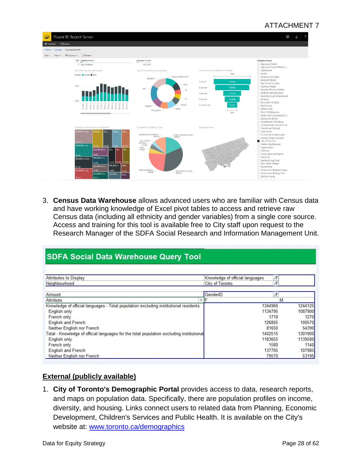#### ATTACHMENT 7



3. **Census Data Warehouse** allows advanced users who are familiar with Census data and have working knowledge of Excel pivot tables to access and retrieve raw Census data (including all ethnicity and gender variables) from a single core source. Access and training for this tool is available free to City staff upon request to the Research Manager of the SDFA Social Research and Information Management Unit.

### **SDFA Social Data Warehouse Query Tool**

| Attributes to Display                                                                    | Knowledge of official languages |         |  |
|------------------------------------------------------------------------------------------|---------------------------------|---------|--|
| Neighbourhood                                                                            | $\sqrt{1}$<br>City of Toronto   |         |  |
| Amount                                                                                   | GenderID                        |         |  |
| Attribute                                                                                |                                 | M       |  |
| Knowledge of official languages - Total population excluding institutional residents     | 1344960                         | 1244125 |  |
| English only                                                                             | 1134795                         | 1087900 |  |
| French only                                                                              | 1710                            | 1270    |  |
| <b>English and French</b>                                                                | 126805                          | 100570  |  |
| Neither English nor French                                                               | 81650                           | 54390   |  |
| Total - Knowledge of official languages for the total population excluding institutional | 1402515                         | 1301900 |  |
| English only                                                                             | 1183655                         | 1139580 |  |
| French only                                                                              | 1580                            | 1140    |  |
| English and French                                                                       | 137705                          | 107985  |  |
| Neither English nor French                                                               | 79570                           | 53195   |  |

#### **External (publicly available)**

1. **City of Toronto's Demographic Portal** provides access to data, research reports, and maps on population data. Specifically, there are population profiles on income, diversity, and housing. Links connect users to related data from Planning, Economic Development, Children's Services and Public Health. It is available on the City's website at: [www.toronto.ca/demographics](http://www.toronto.ca/demographics)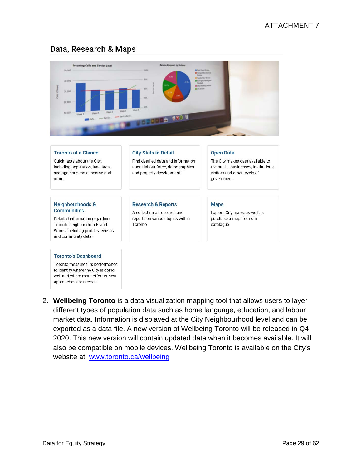## Data, Research & Maps



and property development.

**Research & Reports** 

Toronto.

A collection of research and

reports on various topics within

Quick facts about the City, including population, land area, average household income and more

#### **Neighbourhoods & Communities**

Detailed information regarding Toronto neighbourhoods and Wards, including profiles, census and community data.

#### **Toronto's Dashboard**

Toronto measures its performance to identify where the City is doing well and where more effort or new approaches are needed.

#### Find detailed data and information about labour force, demographics

The City makes data available to the public, businesses, institutions, visitors and other levels of government

#### **Maps**

Explore City maps, as well as purchase a map from our catalogue.

2. **Wellbeing Toronto** is a data visualization mapping tool that allows users to layer different types of population data such as home language, education, and labour market data. Information is displayed at the City Neighbourhood level and can be exported as a data file. A new version of Wellbeing Toronto will be released in Q4 2020. This new version will contain updated data when it becomes available. It will also be compatible on mobile devices. Wellbeing Toronto is available on the City's website at: [www.toronto.ca/wellbeing](http://www.toronto.ca/wellbeing)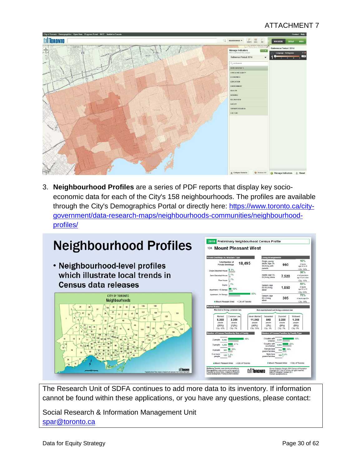### ATTACHMENT 7



3. **Neighbourhood Profiles** are a series of PDF reports that display key socioeconomic data for each of the City's 158 neighbourhoods. The profiles are available through the City's Demographics Portal or directly here: [https://www.toronto.ca/city](https://www.toronto.ca/city-government/data-research-maps/neighbourhoods-communities/neighbourhood-profiles/)[government/data-research-maps/neighbourhoods-communities/neighbourhood](https://www.toronto.ca/city-government/data-research-maps/neighbourhoods-communities/neighbourhood-profiles/)[profiles/](https://www.toronto.ca/city-government/data-research-maps/neighbourhoods-communities/neighbourhood-profiles/)

# **Neighbourhood Profiles**

• Neighbourhood-level profiles which illustrate local trends in **Census data releases** 





The Research Unit of SDFA continues to add more data to its inventory. If information cannot be found within these applications, or you have any questions, please contact:

Social Research & Information Management Unit [spar@toronto.ca](mailto:spar@toronto.ca)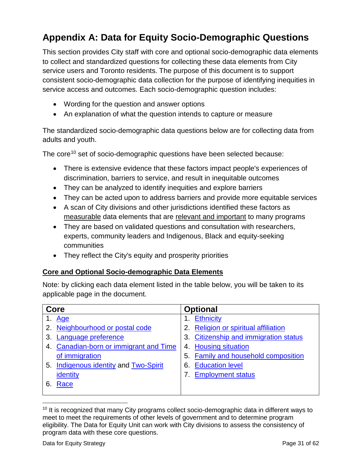# <span id="page-30-0"></span>**Appendix A: Data for Equity Socio-Demographic Questions**

This section provides City staff with core and optional socio-demographic data elements to collect and standardized questions for collecting these data elements from City service users and Toronto residents. The purpose of this document is to support consistent socio-demographic data collection for the purpose of identifying inequities in service access and outcomes. Each socio-demographic question includes:

- Wording for the question and answer options
- An explanation of what the question intends to capture or measure

The standardized socio-demographic data questions below are for collecting data from adults and youth.

The core<sup>[10](#page-30-1)</sup> set of socio-demographic questions have been selected because:

- There is extensive evidence that these factors impact people's experiences of discrimination, barriers to service, and result in inequitable outcomes
- They can be analyzed to identify inequities and explore barriers
- They can be acted upon to address barriers and provide more equitable services
- A scan of City divisions and other jurisdictions identified these factors as measurable data elements that are relevant and important to many programs
- They are based on validated questions and consultation with researchers, experts, community leaders and Indigenous, Black and equity-seeking communities
- They reflect the City's equity and prosperity priorities

#### **Core and Optional Socio-demographic Data Elements**

Note: by clicking each data element listed in the table below, you will be taken to its applicable page in the document.

| Core                                             | <b>Optional</b>                       |
|--------------------------------------------------|---------------------------------------|
| Age                                              | Ethnicity                             |
| 2. Neighbourhood or postal code                  | Religion or spiritual affiliation     |
| Language preference<br>3.                        | 3. Citizenship and immigration status |
| <b>Canadian-born or immigrant and Time</b><br>4. | 4. Housing situation                  |
| of immigration                                   | 5. Family and household composition   |
| 5. Indigenous identity and Two-Spirit            | <b>Education level</b><br>6.          |
| identity                                         | <b>Employment status</b>              |
| Race<br>6.                                       |                                       |
|                                                  |                                       |

<span id="page-30-1"></span> $\overline{a}$ <sup>10</sup> It is recognized that many City programs collect socio-demographic data in different ways to meet to meet the requirements of other levels of government and to determine program eligibility. The Data for Equity Unit can work with City divisions to assess the consistency of program data with these core questions.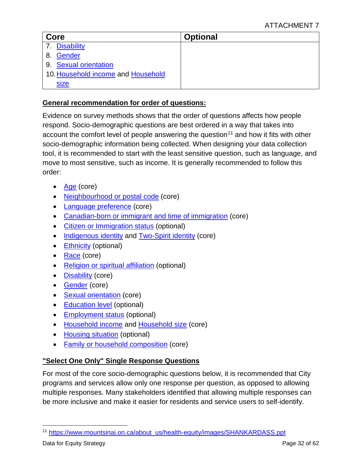| Core                               | <b>Optional</b> |  |  |
|------------------------------------|-----------------|--|--|
| 7. Disability                      |                 |  |  |
| Gender<br>8.                       |                 |  |  |
| 9. Sexual orientation              |                 |  |  |
| 10. Household income and Household |                 |  |  |
| <b>Size</b>                        |                 |  |  |

#### **General recommendation for order of questions:**

Evidence on survey methods shows that the order of questions affects how people respond. Socio-demographic questions are best ordered in a way that takes into account the comfort level of people answering the question<sup>[11](#page-31-0)</sup> and how it fits with other socio-demographic information being collected. When designing your data collection tool, it is recommended to start with the least sensitive question, such as language, and move to most sensitive, such as income. It is generally recommended to follow this order:

- [Age](#page-33-0) (core)
- [Neighbourhood or postal code](#page-34-0) (core)
- [Language preference](#page-37-0) (core)
- [Canadian-born or immigrant and time of immigration](#page-39-0) (core)
- [Citizen or Immigration status](#page-55-0) (optional)
- [Indigenous identity](#page-40-0) and [Two-Spirit identity](#page-41-0) (core)
- [Ethnicity](#page-53-0) (optional)
- [Race](#page-42-0) (core)
- [Religion or spiritual affiliation](#page-54-0) (optional)
- **[Disability](#page-45-0)** (core)
- **[Gender](#page-48-0)** (core)
- [Sexual orientation](#page-49-0) (core)
- [Education level](#page-59-0) (optional)
- [Employment status](#page-59-1) (optional)
- [Household income](#page-50-0) and [Household](#page-53-1) size (core)
- [Housing situation](#page-56-0) (optional)
- [Family or household composition](#page-58-0) (core)

#### **"Select One Only" Single Response Questions**

For most of the core socio-demographic questions below, it is recommended that City programs and services allow only one response per question, as opposed to allowing multiple responses. Many stakeholders identified that allowing multiple responses can be more inclusive and make it easier for residents and service users to self-identify.

<span id="page-31-0"></span> $\overline{a}$ <sup>11</sup> [https://www.mountsinai.on.ca/about\\_us/health-equity/images/SHANKARDASS.ppt](https://www.mountsinai.on.ca/about_us/health-equity/images/SHANKARDASS.ppt)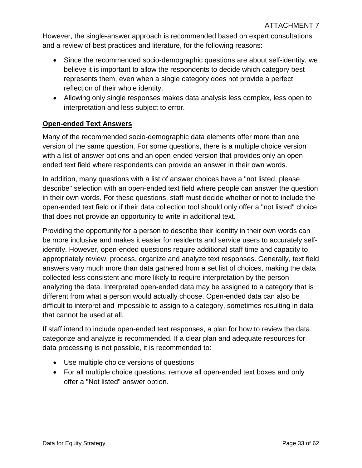However, the single-answer approach is recommended based on expert consultations and a review of best practices and literature, for the following reasons:

- Since the recommended socio-demographic questions are about self-identity, we believe it is important to allow the respondents to decide which category best represents them, even when a single category does not provide a perfect reflection of their whole identity.
- Allowing only single responses makes data analysis less complex, less open to interpretation and less subject to error.

#### **Open-ended Text Answers**

Many of the recommended socio-demographic data elements offer more than one version of the same question. For some questions, there is a multiple choice version with a list of answer options and an open-ended version that provides only an openended text field where respondents can provide an answer in their own words.

In addition, many questions with a list of answer choices have a "not listed, please describe" selection with an open-ended text field where people can answer the question in their own words. For these questions, staff must decide whether or not to include the open-ended text field or if their data collection tool should only offer a "not listed" choice that does not provide an opportunity to write in additional text.

Providing the opportunity for a person to describe their identity in their own words can be more inclusive and makes it easier for residents and service users to accurately selfidentify. However, open-ended questions require additional staff time and capacity to appropriately review, process, organize and analyze text responses. Generally, text field answers vary much more than data gathered from a set list of choices, making the data collected less consistent and more likely to require interpretation by the person analyzing the data. Interpreted open-ended data may be assigned to a category that is different from what a person would actually choose. Open-ended data can also be difficult to interpret and impossible to assign to a category, sometimes resulting in data that cannot be used at all.

If staff intend to include open-ended text responses, a plan for how to review the data, categorize and analyze is recommended. If a clear plan and adequate resources for data processing is not possible, it is recommended to:

- Use multiple choice versions of questions
- For all multiple choice questions, remove all open-ended text boxes and only offer a "Not listed" answer option.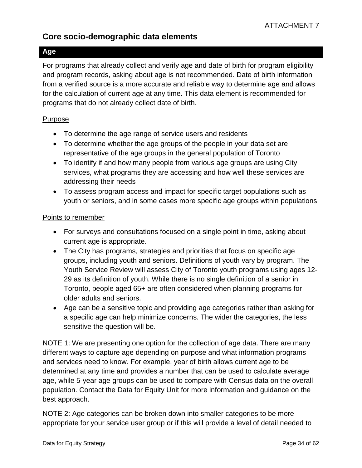## **Core socio-demographic data elements**

#### <span id="page-33-0"></span>**Age**

For programs that already collect and verify age and date of birth for program eligibility and program records, asking about age is not recommended. Date of birth information from a verified source is a more accurate and reliable way to determine age and allows for the calculation of current age at any time. This data element is recommended for programs that do not already collect date of birth.

#### Purpose

- To determine the age range of service users and residents
- To determine whether the age groups of the people in your data set are representative of the age groups in the general population of Toronto
- To identify if and how many people from various age groups are using City services, what programs they are accessing and how well these services are addressing their needs
- To assess program access and impact for specific target populations such as youth or seniors, and in some cases more specific age groups within populations

#### Points to remember

- For surveys and consultations focused on a single point in time, asking about current age is appropriate.
- The City has programs, strategies and priorities that focus on specific age groups, including youth and seniors. Definitions of youth vary by program. The Youth Service Review will assess City of Toronto youth programs using ages 12- 29 as its definition of youth. While there is no single definition of a senior in Toronto, people aged 65+ are often considered when planning programs for older adults and seniors.
- Age can be a sensitive topic and providing age categories rather than asking for a specific age can help minimize concerns. The wider the categories, the less sensitive the question will be.

NOTE 1: We are presenting one option for the collection of age data. There are many different ways to capture age depending on purpose and what information programs and services need to know. For example, year of birth allows current age to be determined at any time and provides a number that can be used to calculate average age, while 5-year age groups can be used to compare with Census data on the overall population. Contact the Data for Equity Unit for more information and guidance on the best approach.

NOTE 2: Age categories can be broken down into smaller categories to be more appropriate for your service user group or if this will provide a level of detail needed to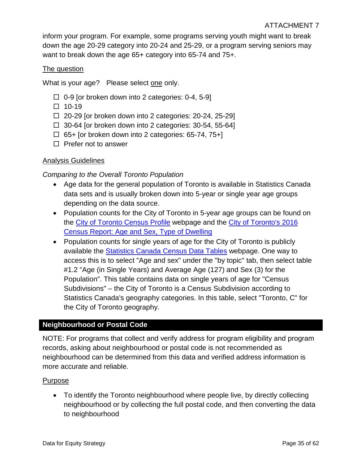inform your program. For example, some programs serving youth might want to break down the age 20-29 category into 20-24 and 25-29, or a program serving seniors may want to break down the age 65+ category into 65-74 and 75+.

#### The question

What is your age? Please select one only.

- $\Box$  0-9 [or broken down into 2 categories: 0-4, 5-9]
- $\Box$  10-19
- $\Box$  20-29 [or broken down into 2 categories: 20-24, 25-29]
- $\Box$  30-64 [or broken down into 2 categories: 30-54, 55-64]
- $\Box$  65+ [or broken down into 2 categories: 65-74, 75+]
- $\Box$  Prefer not to answer

#### Analysis Guidelines

*Comparing to the Overall Toronto Population* 

- Age data for the general population of Toronto is available in Statistics Canada data sets and is usually broken down into 5-year or single year age groups depending on the data source.
- Population counts for the City of Toronto in 5-year age groups can be found on the [City of Toronto Census Profile](https://www12.statcan.gc.ca/census-recensement/2016/dp-pd/prof/details/page.cfm?Lang=E&Geo1=CSD&Code1=3520005&Geo2=PR&Code2=35&Data=Count&SearchType=Begins&SearchPR=01&B1=All) webpage and the [City of Toronto's 2016](https://www.toronto.ca/wp-content/uploads/2017/10/96d7-2016-Census-Backgrounder-Age-Sex-Dwelling-Type.pdf)  [Census Report: Age and Sex, Type of Dwelling](https://www.toronto.ca/wp-content/uploads/2017/10/96d7-2016-Census-Backgrounder-Age-Sex-Dwelling-Type.pdf)
- Population counts for single years of age for the City of Toronto is publicly available the [Statistics Canada Census Data Tables](https://www12.statcan.gc.ca/census-recensement/2016/dp-pd/dt-td/Index-eng.cfm) webpage. One way to access this is to select "Age and sex" under the "by topic" tab, then select table #1.2 "Age (in Single Years) and Average Age (127) and Sex (3) for the Population". This table contains data on single years of age for "Census Subdivisions" – the City of Toronto is a Census Subdivision according to Statistics Canada's geography categories. In this table, select "Toronto, C" for the City of Toronto geography.

#### <span id="page-34-0"></span>**Neighbourhood or Postal Code**

NOTE: For programs that collect and verify address for program eligibility and program records, asking about neighbourhood or postal code is not recommended as neighbourhood can be determined from this data and verified address information is more accurate and reliable.

#### Purpose

• To identify the Toronto neighbourhood where people live, by directly collecting neighbourhood or by collecting the full postal code, and then converting the data to neighbourhood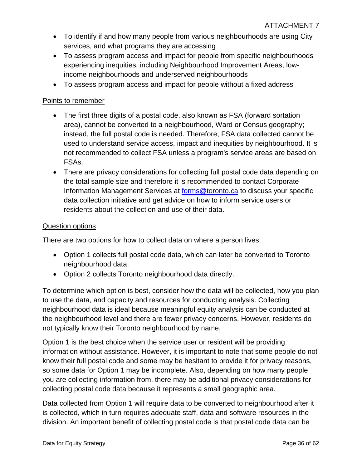- To identify if and how many people from various neighbourhoods are using City services, and what programs they are accessing
- To assess program access and impact for people from specific neighbourhoods experiencing inequities, including Neighbourhood Improvement Areas, lowincome neighbourhoods and underserved neighbourhoods
- To assess program access and impact for people without a fixed address

#### Points to remember

- The first three digits of a postal code, also known as FSA (forward sortation area), cannot be converted to a neighbourhood, Ward or Census geography; instead, the full postal code is needed. Therefore, FSA data collected cannot be used to understand service access, impact and inequities by neighbourhood. It is not recommended to collect FSA unless a program's service areas are based on FSAs.
- There are privacy considerations for collecting full postal code data depending on the total sample size and therefore it is recommended to contact Corporate Information Management Services at [forms@toronto.ca](mailto:forms@toronto.ca) to discuss your specific data collection initiative and get advice on how to inform service users or residents about the collection and use of their data.

#### Question options

There are two options for how to collect data on where a person lives.

- Option 1 collects full postal code data, which can later be converted to Toronto neighbourhood data.
- Option 2 collects Toronto neighbourhood data directly.

To determine which option is best, consider how the data will be collected, how you plan to use the data, and capacity and resources for conducting analysis. Collecting neighbourhood data is ideal because meaningful equity analysis can be conducted at the neighbourhood level and there are fewer privacy concerns. However, residents do not typically know their Toronto neighbourhood by name.

Option 1 is the best choice when the service user or resident will be providing information without assistance. However, it is important to note that some people do not know their full postal code and some may be hesitant to provide it for privacy reasons, so some data for Option 1 may be incomplete. Also, depending on how many people you are collecting information from, there may be additional privacy considerations for collecting postal code data because it represents a small geographic area.

Data collected from Option 1 will require data to be converted to neighbourhood after it is collected, which in turn requires adequate staff, data and software resources in the division. An important benefit of collecting postal code is that postal code data can be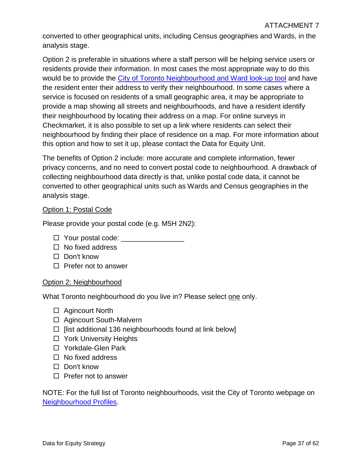converted to other geographical units, including Census geographies and Wards, in the analysis stage.

Option 2 is preferable in situations where a staff person will be helping service users or residents provide their information. In most cases the most appropriate way to do this would be to provide the [City of Toronto Neighbourhood and Ward look-up tool](https://www.toronto.ca/city-government/data-research-maps/neighbourhoods-communities/neighbourhood-profiles/) and have the resident enter their address to verify their neighbourhood. In some cases where a service is focused on residents of a small geographic area, it may be appropriate to provide a map showing all streets and neighbourhoods, and have a resident identify their neighbourhood by locating their address on a map. For online surveys in Checkmarket, it is also possible to set up a link where residents can select their neighbourhood by finding their place of residence on a map. For more information about this option and how to set it up, please contact the Data for Equity Unit.

The benefits of Option 2 include: more accurate and complete information, fewer privacy concerns, and no need to convert postal code to neighbourhood. A drawback of collecting neighbourhood data directly is that, unlike postal code data, it cannot be converted to other geographical units such as Wards and Census geographies in the analysis stage.

#### Option 1: Postal Code

Please provide your postal code (e.g. M5H 2N2):

- $\Box$  Your postal code:
- $\Box$  No fixed address
- $\Box$  Don't know
- $\Box$  Prefer not to answer

#### Option 2: Neighbourhood

What Toronto neighbourhood do you live in? Please select one only.

- □ Agincourt North
- □ Agincourt South-Malvern
- $\Box$  [list additional 136 neighbourhoods found at link below]
- □ York University Heights
- □ Yorkdale-Glen Park
- $\Box$  No fixed address
- $\Box$  Don't know
- $\Box$  Prefer not to answer

NOTE: For the full list of Toronto neighbourhoods, visit the City of Toronto webpage on [Neighbourhood Profiles.](https://www.toronto.ca/city-government/data-research-maps/neighbourhoods-communities/neighbourhood-profiles/)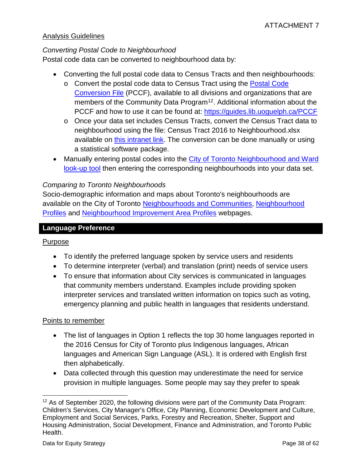#### Analysis Guidelines

#### *Converting Postal Code to Neighbourhood*

Postal code data can be converted to neighbourhood data by:

- Converting the full postal code data to Census Tracts and then neighbourhoods:
	- o Convert the postal code data to Census Tract using the [Postal Code](https://communitydata.ca/content/postal-code-conversion-file-released-dec-2018)  [Conversion File](https://communitydata.ca/content/postal-code-conversion-file-released-dec-2018) (PCCF), available to all divisions and organizations that are members of the Community Data Program<sup>12</sup>. Additional information about the PCCF and how to use it can be found at:<https://guides.lib.uoguelph.ca/PCCF>
	- o Once your data set includes Census Tracts, convert the Census Tract data to neighbourhood using the file: Census Tract 2016 to Neighbourhood.xlsx available on [this intranet link.](https://sdfa01.toronto.ca/datasetdownload/) The conversion can be done manually or using a statistical software package.
- Manually entering postal codes into the City of Toronto Neighbourhood and Ward [look-up tool](https://www.toronto.ca/city-government/data-research-maps/neighbourhoods-communities/neighbourhood-profiles/) then entering the corresponding neighbourhoods into your data set.

#### *Comparing to Toronto Neighbourhoods*

Socio-demographic information and maps about Toronto's neighbourhoods are available on the City of Toronto [Neighbourhoods and Communities, Neighbourhood](https://www.toronto.ca/city-government/data-research-maps/neighbourhoods-communities/neighbourhood-profiles/)  [Profiles](https://www.toronto.ca/city-government/data-research-maps/neighbourhoods-communities/neighbourhood-profiles/) and [Neighbourhood Improvement Area Profiles](https://www.toronto.ca/city-government/data-research-maps/neighbourhoods-communities/nia-profiles/) webpages.

#### <span id="page-37-0"></span>**Language Preference**

#### Purpose

- To identify the preferred language spoken by service users and residents
- To determine interpreter (verbal) and translation (print) needs of service users
- To ensure that information about City services is communicated in languages that community members understand. Examples include providing spoken interpreter services and translated written information on topics such as voting, emergency planning and public health in languages that residents understand.

#### Points to remember

- The list of languages in Option 1 reflects the top 30 home languages reported in the 2016 Census for City of Toronto plus Indigenous languages, African languages and American Sign Language (ASL). It is ordered with English first then alphabetically.
- Data collected through this question may underestimate the need for service provision in multiple languages. Some people may say they prefer to speak

<span id="page-37-1"></span> $\overline{a}$  $12$  As of September 2020, the following divisions were part of the Community Data Program: Children's Services, City Manager's Office, City Planning, Economic Development and Culture, Employment and Social Services, Parks, Forestry and Recreation, Shelter, Support and Housing Administration, Social Development, Finance and Administration, and Toronto Public Health.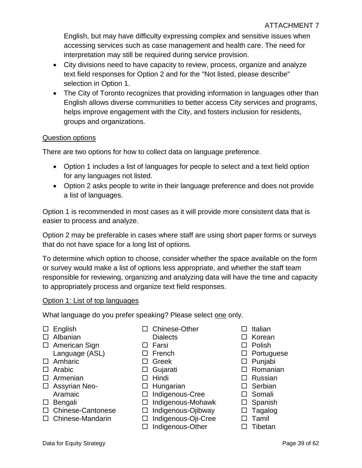English, but may have difficulty expressing complex and sensitive issues when accessing services such as case management and health care. The need for interpretation may still be required during service provision.

- City divisions need to have capacity to review, process, organize and analyze text field responses for Option 2 and for the "Not listed, please describe" selection in Option 1.
- The City of Toronto recognizes that providing information in languages other than English allows diverse communities to better access City services and programs, helps improve engagement with the City, and fosters inclusion for residents, groups and organizations.

#### Question options

There are two options for how to collect data on language preference.

- Option 1 includes a list of languages for people to select and a text field option for any languages not listed.
- Option 2 asks people to write in their language preference and does not provide a list of languages.

Option 1 is recommended in most cases as it will provide more consistent data that is easier to process and analyze.

Option 2 may be preferable in cases where staff are using short paper forms or surveys that do not have space for a long list of options.

To determine which option to choose, consider whether the space available on the form or survey would make a list of options less appropriate, and whether the staff team responsible for reviewing, organizing and analyzing data will have the time and capacity to appropriately process and organize text field responses.

#### Option 1: List of top languages

What language do you prefer speaking? Please select one only.

 $\square$  English

- Albanian
- □ American Sign Language (ASL)
- □ Amharic
- $\Box$  Arabic
- Armenian
- □ Assyrian Neo-Aramaic
- $\square$  Bengali
- □ Chinese-Cantonese
- □ Chinese-Mandarin
- □ Chinese-Other
- Dialects
- $\square$  Farsi
- 
- 
- 
- 
- $\Box$  Hungarian
- □ Indigenous-Cree
- □ Indigenous-Mohawk
- □ Indigenous-Ojibway
- Indigenous-Oji-Cree
- $\Box$  Indigenous-Other
- $\Box$  Italian
- $\Box$  Korean
- $\Box$  Polish
- $\square$  Portuguese
- Punjabi
- □ Romanian
- □ Russian
- $\square$  Serbian
- □ Somali
- $\square$  Spanish
- $\square$  Tagalog
- $\Box$  Tamil
- $\square$  Tibetan
- □ French
- □ Greek
- 
- Gujarati  $\Box$  Hindi
-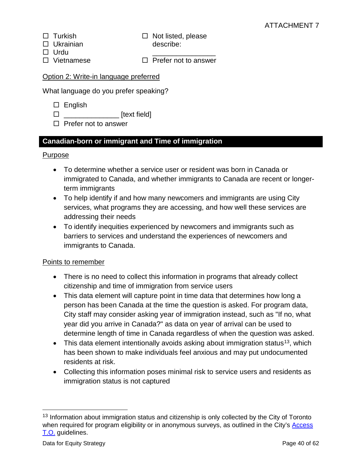- $\Box$  Turkish
- □ Ukrainian

 $\Box$  Not listed, please describe:

- □ Urdu
- □ Vietnamese
- $\Box$  Prefer not to answer

\_\_\_\_\_\_\_\_\_\_\_\_\_\_\_\_

#### Option 2: Write-in language preferred

What language do you prefer speaking?

- $\square$  English
- $\square$
- $\Box$  Prefer not to answer

### <span id="page-39-0"></span>**Canadian-born or immigrant and Time of immigration**

#### Purpose

- To determine whether a service user or resident was born in Canada or immigrated to Canada, and whether immigrants to Canada are recent or longerterm immigrants
- To help identify if and how many newcomers and immigrants are using City services, what programs they are accessing, and how well these services are addressing their needs
- To identify inequities experienced by newcomers and immigrants such as barriers to services and understand the experiences of newcomers and immigrants to Canada.

#### Points to remember

- There is no need to collect this information in programs that already collect citizenship and time of immigration from service users
- This data element will capture point in time data that determines how long a person has been Canada at the time the question is asked. For program data, City staff may consider asking year of immigration instead, such as "If no, what year did you arrive in Canada?" as data on year of arrival can be used to determine length of time in Canada regardless of when the question was asked.
- This data element intentionally avoids asking about immigration status<sup>13</sup>, which has been shown to make individuals feel anxious and may put undocumented residents at risk.
- Collecting this information poses minimal risk to service users and residents as immigration status is not captured

 $\overline{a}$ 

<span id="page-39-1"></span><sup>&</sup>lt;sup>13</sup> Information about immigration status and citizenship is only collected by the City of Toronto when required for program eligibility or in anonymous surveys, as outlined in the City's Access [T.O.](https://www.toronto.ca/city-government/accountability-operations-customer-service/long-term-vision-plans-and-strategies/access-to-city-services-for-undocumented-torontonians/) guidelines.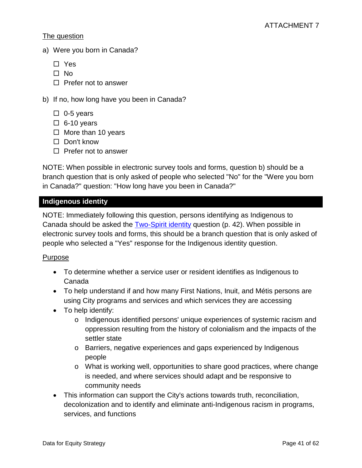#### The question

- a) Were you born in Canada?
	- Yes
	- $\Box$  No
	- $\Box$  Prefer not to answer
- b) If no, how long have you been in Canada?
	- $\Box$  0-5 years
	- $\Box$  6-10 years
	- $\Box$  More than 10 years
	- $\Box$  Don't know
	- $\Box$  Prefer not to answer

NOTE: When possible in electronic survey tools and forms, question b) should be a branch question that is only asked of people who selected "No" for the "Were you born in Canada?" question: "How long have you been in Canada?"

#### <span id="page-40-0"></span>**Indigenous identity**

NOTE: Immediately following this question, persons identifying as Indigenous to Canada should be asked the [Two-Spirit identity](#page-41-0) question (p. 42). When possible in electronic survey tools and forms, this should be a branch question that is only asked of people who selected a "Yes" response for the Indigenous identity question.

#### Purpose

- To determine whether a service user or resident identifies as Indigenous to Canada
- To help understand if and how many First Nations, Inuit, and Métis persons are using City programs and services and which services they are accessing
- To help identify:
	- o Indigenous identified persons' unique experiences of systemic racism and oppression resulting from the history of colonialism and the impacts of the settler state
	- o Barriers, negative experiences and gaps experienced by Indigenous people
	- o What is working well, opportunities to share good practices, where change is needed, and where services should adapt and be responsive to community needs
- This information can support the City's actions towards truth, reconciliation, decolonization and to identify and eliminate anti-Indigenous racism in programs, services, and functions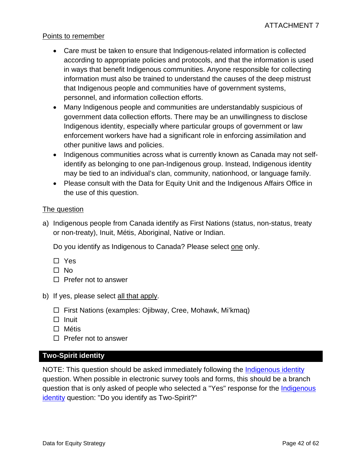#### Points to remember

- Care must be taken to ensure that Indigenous-related information is collected according to appropriate policies and protocols, and that the information is used in ways that benefit Indigenous communities. Anyone responsible for collecting information must also be trained to understand the causes of the deep mistrust that Indigenous people and communities have of government systems, personnel, and information collection efforts.
- Many Indigenous people and communities are understandably suspicious of government data collection efforts. There may be an unwillingness to disclose Indigenous identity, especially where particular groups of government or law enforcement workers have had a significant role in enforcing assimilation and other punitive laws and policies.
- Indigenous communities across what is currently known as Canada may not selfidentify as belonging to one pan-Indigenous group. Instead, Indigenous identity may be tied to an individual's clan, community, nationhood, or language family.
- Please consult with the Data for Equity Unit and the Indigenous Affairs Office in the use of this question.

#### The question

a) Indigenous people from Canada identify as First Nations (status, non-status, treaty or non-treaty), Inuit, Métis, Aboriginal, Native or Indian.

Do you identify as Indigenous to Canada? Please select one only.

- □ Yes
- $\Box$  No
- $\Box$  Prefer not to answer
- b) If yes, please select all that apply.
	- □ First Nations (examples: Ojibway, Cree, Mohawk, Mi'kmag)
	- $\Box$  Inuit
	- □ Métis
	- $\Box$  Prefer not to answer

#### <span id="page-41-0"></span>**Two-Spirit identity**

NOTE: This question should be asked immediately following the [Indigenous identity](#page-40-0) question. When possible in electronic survey tools and forms, this should be a branch question that is only asked of people who selected a "Yes" response for the [Indigenous](#page-40-0)  [identity](#page-40-0) question: "Do you identify as Two-Spirit?"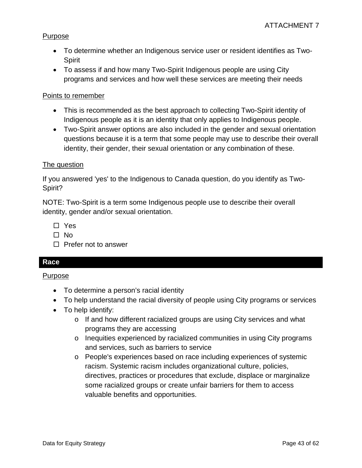#### Purpose

- To determine whether an Indigenous service user or resident identifies as Two-**Spirit**
- To assess if and how many Two-Spirit Indigenous people are using City programs and services and how well these services are meeting their needs

#### Points to remember

- This is recommended as the best approach to collecting Two-Spirit identity of Indigenous people as it is an identity that only applies to Indigenous people.
- Two-Spirit answer options are also included in the gender and sexual orientation questions because it is a term that some people may use to describe their overall identity, their gender, their sexual orientation or any combination of these.

#### The question

If you answered 'yes' to the Indigenous to Canada question, do you identify as Two-Spirit?

NOTE: Two-Spirit is a term some Indigenous people use to describe their overall identity, gender and/or sexual orientation.

□ Yes

- $\Box$  No
- $\Box$  Prefer not to answer

#### <span id="page-42-0"></span>**Race**

Purpose

- To determine a person's racial identity
- To help understand the racial diversity of people using City programs or services
- To help identify:
	- o If and how different racialized groups are using City services and what programs they are accessing
	- o Inequities experienced by racialized communities in using City programs and services, such as barriers to service
	- o People's experiences based on race including experiences of systemic racism. Systemic racism includes organizational culture, policies, directives, practices or procedures that exclude, displace or marginalize some racialized groups or create unfair barriers for them to access valuable benefits and opportunities.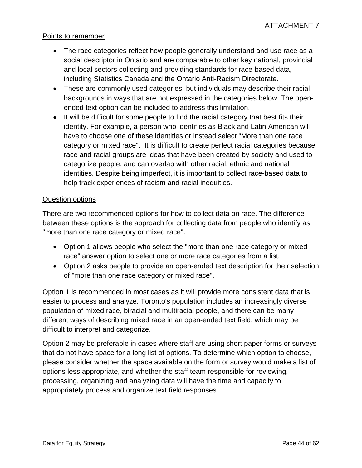#### Points to remember

- The race categories reflect how people generally understand and use race as a social descriptor in Ontario and are comparable to other key national, provincial and local sectors collecting and providing standards for race-based data, including Statistics Canada and the Ontario Anti-Racism Directorate.
- These are commonly used categories, but individuals may describe their racial backgrounds in ways that are not expressed in the categories below. The openended text option can be included to address this limitation.
- It will be difficult for some people to find the racial category that best fits their identity. For example, a person who identifies as Black and Latin American will have to choose one of these identities or instead select "More than one race category or mixed race". It is difficult to create perfect racial categories because race and racial groups are ideas that have been created by society and used to categorize people, and can overlap with other racial, ethnic and national identities. Despite being imperfect, it is important to collect race-based data to help track experiences of racism and racial inequities.

#### Question options

There are two recommended options for how to collect data on race. The difference between these options is the approach for collecting data from people who identify as "more than one race category or mixed race".

- Option 1 allows people who select the "more than one race category or mixed race" answer option to select one or more race categories from a list.
- Option 2 asks people to provide an open-ended text description for their selection of "more than one race category or mixed race".

Option 1 is recommended in most cases as it will provide more consistent data that is easier to process and analyze. Toronto's population includes an increasingly diverse population of mixed race, biracial and multiracial people, and there can be many different ways of describing mixed race in an open-ended text field, which may be difficult to interpret and categorize.

Option 2 may be preferable in cases where staff are using short paper forms or surveys that do not have space for a long list of options. To determine which option to choose, please consider whether the space available on the form or survey would make a list of options less appropriate, and whether the staff team responsible for reviewing, processing, organizing and analyzing data will have the time and capacity to appropriately process and organize text field responses.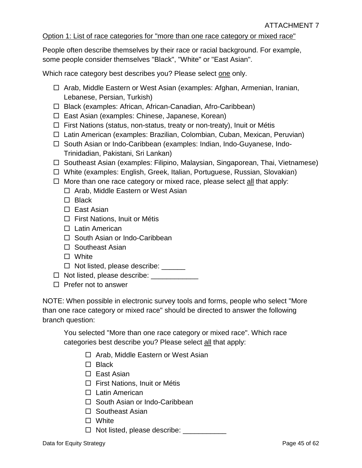#### Option 1: List of race categories for "more than one race category or mixed race"

People often describe themselves by their race or racial background. For example, some people consider themselves "Black", "White" or "East Asian".

Which race category best describes you? Please select one only.

- □ Arab, Middle Eastern or West Asian (examples: Afghan, Armenian, Iranian, Lebanese, Persian, Turkish)
- □ Black (examples: African, African-Canadian, Afro-Caribbean)
- $\Box$  East Asian (examples: Chinese, Japanese, Korean)
- $\Box$  First Nations (status, non-status, treaty or non-treaty), Inuit or Métis
- □ Latin American (examples: Brazilian, Colombian, Cuban, Mexican, Peruvian)
- □ South Asian or Indo-Caribbean (examples: Indian, Indo-Guyanese, Indo-Trinidadian, Pakistani, Sri Lankan)
- $\Box$  Southeast Asian (examples: Filipino, Malaysian, Singaporean, Thai, Vietnamese)
- White (examples: English, Greek, Italian, Portuguese, Russian, Slovakian)
- $\Box$  More than one race category or mixed race, please select all that apply:
	- $\Box$  Arab, Middle Eastern or West Asian
	- $\Box$  Black
	- □ East Asian
	- $\Box$  First Nations, Inuit or Métis
	- □ Latin American
	- □ South Asian or Indo-Caribbean
	- $\square$  Southeast Asian
	- □ White
	- $\Box$  Not listed, please describe:  $\Box$
- $\Box$  Not listed, please describe:  $\Box$
- $\square$  Prefer not to answer

NOTE: When possible in electronic survey tools and forms, people who select "More than one race category or mixed race" should be directed to answer the following branch question:

You selected "More than one race category or mixed race". Which race categories best describe you? Please select all that apply:

- $\Box$  Arab, Middle Eastern or West Asian
- $\Box$  Black
- □ East Asian
- $\Box$  First Nations, Inuit or Métis
- □ Latin American
- □ South Asian or Indo-Caribbean
- $\Box$  Southeast Asian
- □ White
- $\Box$  Not listed, please describe: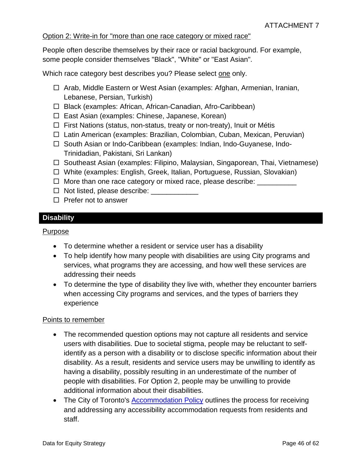#### Option 2: Write-in for "more than one race category or mixed race"

People often describe themselves by their race or racial background. For example, some people consider themselves "Black", "White" or "East Asian".

Which race category best describes you? Please select one only.

- □ Arab, Middle Eastern or West Asian (examples: Afghan, Armenian, Iranian, Lebanese, Persian, Turkish)
- □ Black (examples: African, African-Canadian, Afro-Caribbean)
- $\Box$  East Asian (examples: Chinese, Japanese, Korean)
- $\Box$  First Nations (status, non-status, treaty or non-treaty), Inuit or Métis
- □ Latin American (examples: Brazilian, Colombian, Cuban, Mexican, Peruvian)
- □ South Asian or Indo-Caribbean (examples: Indian, Indo-Guyanese, Indo-Trinidadian, Pakistani, Sri Lankan)
- $\Box$  Southeast Asian (examples: Filipino, Malaysian, Singaporean, Thai, Vietnamese)
- White (examples: English, Greek, Italian, Portuguese, Russian, Slovakian)
- $\Box$  More than one race category or mixed race, please describe:  $\Box$
- $\Box$  Not listed, please describe:
- $\Box$  Prefer not to answer

#### <span id="page-45-0"></span>**Disability**

#### Purpose

- To determine whether a resident or service user has a disability
- To help identify how many people with disabilities are using City programs and services, what programs they are accessing, and how well these services are addressing their needs
- To determine the type of disability they live with, whether they encounter barriers when accessing City programs and services, and the types of barriers they experience

#### Points to remember

- The recommended question options may not capture all residents and service users with disabilities. Due to societal stigma, people may be reluctant to selfidentify as a person with a disability or to disclose specific information about their disability. As a result, residents and service users may be unwilling to identify as having a disability, possibly resulting in an underestimate of the number of people with disabilities. For Option 2, people may be unwilling to provide additional information about their disabilities.
- The City of Toronto's [Accommodation Policy](https://www.toronto.ca/city-government/accountability-operations-customer-service/city-administration/corporate-policies/people-equity-policies/accommodation/) outlines the process for receiving and addressing any accessibility accommodation requests from residents and staff.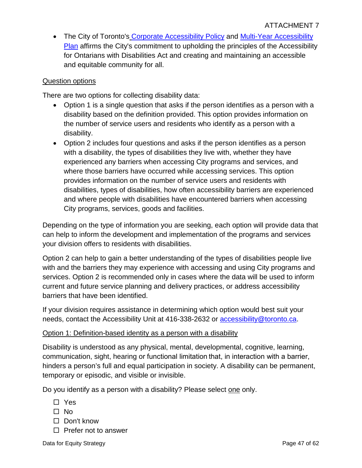• The City of Toronto's [Corporate Accessibility Policy](https://www.toronto.ca/city-government/accountability-operations-customer-service/city-administration/corporate-policies/people-equity-policies/corporate-accessibility-policy/) and Multi-Year Accessibility [Plan](https://www.toronto.ca/city-government/accessibility-human-rights/accessibility-at-the-city-of-toronto/multi-year-accessibility-plan/) affirms the City's commitment to upholding the principles of the Accessibility for Ontarians with Disabilities Act and creating and maintaining an accessible and equitable community for all.

#### Question options

There are two options for collecting disability data:

- Option 1 is a single question that asks if the person identifies as a person with a disability based on the definition provided. This option provides information on the number of service users and residents who identify as a person with a disability.
- Option 2 includes four questions and asks if the person identifies as a person with a disability, the types of disabilities they live with, whether they have experienced any barriers when accessing City programs and services, and where those barriers have occurred while accessing services. This option provides information on the number of service users and residents with disabilities, types of disabilities, how often accessibility barriers are experienced and where people with disabilities have encountered barriers when accessing City programs, services, goods and facilities.

Depending on the type of information you are seeking, each option will provide data that can help to inform the development and implementation of the programs and services your division offers to residents with disabilities.

Option 2 can help to gain a better understanding of the types of disabilities people live with and the barriers they may experience with accessing and using City programs and services. Option 2 is recommended only in cases where the data will be used to inform current and future service planning and delivery practices, or address accessibility barriers that have been identified.

If your division requires assistance in determining which option would best suit your needs, contact the Accessibility Unit at 416-338-2632 or [accessibility@toronto.ca.](mailto:accessibility@toronto.ca)

#### Option 1: Definition-based identity as a person with a disability

Disability is understood as any physical, mental, developmental, cognitive, learning, communication, sight, hearing or functional limitation that, in interaction with a barrier, hinders a person's full and equal participation in society. A disability can be permanent, temporary or episodic, and visible or invisible.

Do you identify as a person with a disability? Please select one only.

- □ Yes
- $\square$  No
- □ Don't know
- $\square$  Prefer not to answer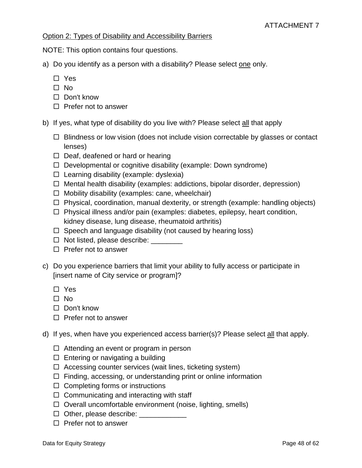#### Option 2: Types of Disability and Accessibility Barriers

NOTE: This option contains four questions.

- a) Do you identify as a person with a disability? Please select one only.
	- □ Yes
	- $\square$  No
	- □ Don't know
	- $\Box$  Prefer not to answer
- b) If yes, what type of disability do you live with? Please select all that apply
	- $\Box$  Blindness or low vision (does not include vision correctable by glasses or contact lenses)
	- $\Box$  Deaf, deafened or hard or hearing
	- $\Box$  Developmental or cognitive disability (example: Down syndrome)
	- $\Box$  Learning disability (example: dyslexia)
	- $\Box$  Mental health disability (examples: addictions, bipolar disorder, depression)
	- $\Box$  Mobility disability (examples: cane, wheelchair)
	- $\Box$  Physical, coordination, manual dexterity, or strength (example: handling objects)
	- $\Box$  Physical illness and/or pain (examples: diabetes, epilepsy, heart condition, kidney disease, lung disease, rheumatoid arthritis)
	- $\Box$  Speech and language disability (not caused by hearing loss)
	- $\Box$  Not listed, please describe:  $\Box$
	- $\Box$  Prefer not to answer
- c) Do you experience barriers that limit your ability to fully access or participate in [insert name of City service or program]?
	- □ Yes
	- No
	- □ Don't know
	- $\Box$  Prefer not to answer
- d) If yes, when have you experienced access barrier(s)? Please select all that apply.
	- $\Box$  Attending an event or program in person
	- $\Box$  Entering or navigating a building
	- $\Box$  Accessing counter services (wait lines, ticketing system)
	- $\Box$  Finding, accessing, or understanding print or online information
	- $\Box$  Completing forms or instructions
	- $\Box$  Communicating and interacting with staff
	- $\Box$  Overall uncomfortable environment (noise, lighting, smells)
	- $\Box$  Other, please describe:
	- $\Box$  Prefer not to answer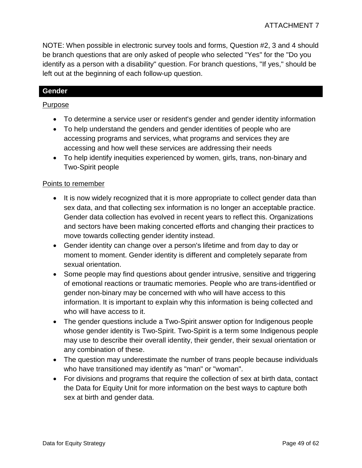NOTE: When possible in electronic survey tools and forms, Question #2, 3 and 4 should be branch questions that are only asked of people who selected "Yes" for the "Do you identify as a person with a disability" question. For branch questions, "If yes," should be left out at the beginning of each follow-up question.

#### <span id="page-48-0"></span>**Gender**

#### Purpose

- To determine a service user or resident's gender and gender identity information
- To help understand the genders and gender identities of people who are accessing programs and services, what programs and services they are accessing and how well these services are addressing their needs
- To help identify inequities experienced by women, girls, trans, non-binary and Two-Spirit people

#### Points to remember

- It is now widely recognized that it is more appropriate to collect gender data than sex data, and that collecting sex information is no longer an acceptable practice. Gender data collection has evolved in recent years to reflect this. Organizations and sectors have been making concerted efforts and changing their practices to move towards collecting gender identity instead.
- Gender identity can change over a person's lifetime and from day to day or moment to moment. Gender identity is different and completely separate from sexual orientation.
- Some people may find questions about gender intrusive, sensitive and triggering of emotional reactions or traumatic memories. People who are trans-identified or gender non-binary may be concerned with who will have access to this information. It is important to explain why this information is being collected and who will have access to it.
- The gender questions include a Two-Spirit answer option for Indigenous people whose gender identity is Two-Spirit. Two-Spirit is a term some Indigenous people may use to describe their overall identity, their gender, their sexual orientation or any combination of these.
- The question may underestimate the number of trans people because individuals who have transitioned may identify as "man" or "woman".
- For divisions and programs that require the collection of sex at birth data, contact the Data for Equity Unit for more information on the best ways to capture both sex at birth and gender data.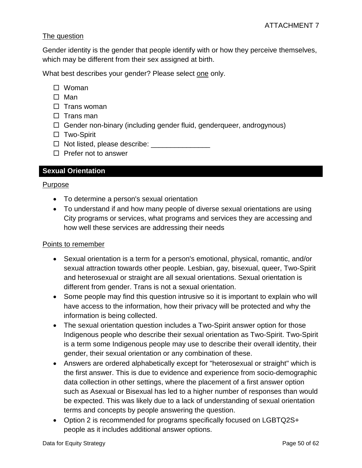#### The question

Gender identity is the gender that people identify with or how they perceive themselves, which may be different from their sex assigned at birth.

What best describes your gender? Please select one only.

- □ Woman
- $\square$  Man
- $\square$  Trans woman
- $\Box$  Trans man
- $\Box$  Gender non-binary (including gender fluid, genderqueer, androgynous)
- □ Two-Spirit
- $\Box$  Not listed, please describe:
- $\Box$  Prefer not to answer

#### <span id="page-49-0"></span>**Sexual Orientation**

#### Purpose

- To determine a person's sexual orientation
- To understand if and how many people of diverse sexual orientations are using City programs or services, what programs and services they are accessing and how well these services are addressing their needs

#### Points to remember

- Sexual orientation is a term for a person's emotional, physical, romantic, and/or sexual attraction towards other people. Lesbian, gay, bisexual, queer, Two-Spirit and heterosexual or straight are all sexual orientations. Sexual orientation is different from gender. Trans is not a sexual orientation.
- Some people may find this question intrusive so it is important to explain who will have access to the information, how their privacy will be protected and why the information is being collected.
- The sexual orientation question includes a Two-Spirit answer option for those Indigenous people who describe their sexual orientation as Two-Spirit. Two-Spirit is a term some Indigenous people may use to describe their overall identity, their gender, their sexual orientation or any combination of these.
- Answers are ordered alphabetically except for "heterosexual or straight" which is the first answer. This is due to evidence and experience from socio-demographic data collection in other settings, where the placement of a first answer option such as Asexual or Bisexual has led to a higher number of responses than would be expected. This was likely due to a lack of understanding of sexual orientation terms and concepts by people answering the question.
- Option 2 is recommended for programs specifically focused on LGBTQ2S+ people as it includes additional answer options.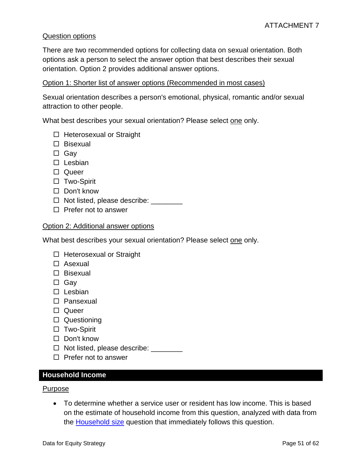#### Question options

There are two recommended options for collecting data on sexual orientation. Both options ask a person to select the answer option that best describes their sexual orientation. Option 2 provides additional answer options.

#### Option 1: Shorter list of answer options (Recommended in most cases)

Sexual orientation describes a person's emotional, physical, romantic and/or sexual attraction to other people.

What best describes your sexual orientation? Please select one only.

- $\Box$  Heterosexual or Straight
- $\square$  Bisexual
- □ Gav
- $\square$  Lesbian
- □ Queer
- □ Two-Spirit
- □ Don't know
- $\Box$  Not listed, please describe:  $\Box$
- $\square$  Prefer not to answer

#### Option 2: Additional answer options

What best describes your sexual orientation? Please select one only.

- $\Box$  Heterosexual or Straight
- Asexual
- $\Box$  Bisexual
- □ Gay
- $\square$  Lesbian
- Pansexual
- □ Queer
- □ Questioning
- □ Two-Spirit
- $\Box$  Don't know
- $\Box$  Not listed, please describe:
- $\Box$  Prefer not to answer

#### <span id="page-50-0"></span>**Household Income**

#### Purpose

• To determine whether a service user or resident has low income. This is based on the estimate of household income from this question, analyzed with data from the **Household size** question that immediately follows this question.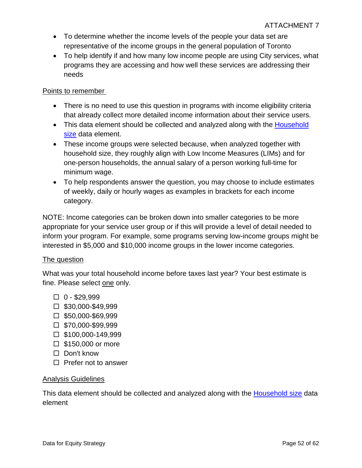- To determine whether the income levels of the people your data set are representative of the income groups in the general population of Toronto
- To help identify if and how many low income people are using City services, what programs they are accessing and how well these services are addressing their needs

#### Points to remember

- There is no need to use this question in programs with income eligibility criteria that already collect more detailed income information about their service users.
- This data element should be collected and analyzed along with the [Household](#page-53-1) size data element.
- These income groups were selected because, when analyzed together with household size, they roughly align with Low Income Measures (LIMs) and for one-person households, the annual salary of a person working full-time for minimum wage.
- To help respondents answer the question, you may choose to include estimates of weekly, daily or hourly wages as examples in brackets for each income category.

NOTE: Income categories can be broken down into smaller categories to be more appropriate for your service user group or if this will provide a level of detail needed to inform your program. For example, some programs serving low-income groups might be interested in \$5,000 and \$10,000 income groups in the lower income categories.

#### The question

What was your total household income before taxes last year? Your best estimate is fine. Please select one only.

- $\Box$  0 \$29.999
- $\square$  \$30,000-\$49,999
- $\square$  \$50,000-\$69.999
- $\square$  \$70,000-\$99,999
- $\square$  \$100,000-149,999
- $\square$  \$150,000 or more
- □ Don't know
- $\Box$  Prefer not to answer

#### Analysis Guidelines

This data element should be collected and analyzed along with the [Household](#page-53-1) size data element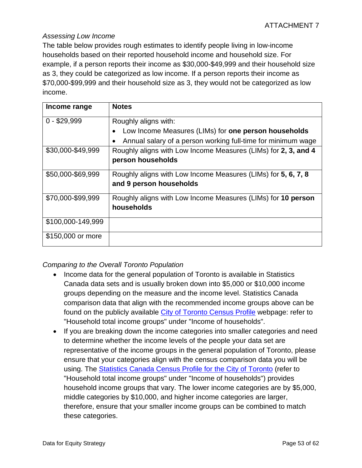#### *Assessing Low Income*

The table below provides rough estimates to identify people living in low-income households based on their reported household income and household size. For example, if a person reports their income as \$30,000-\$49,999 and their household size as 3, they could be categorized as low income. If a person reports their income as \$70,000-\$99,999 and their household size as 3, they would not be categorized as low income.

| Income range      | <b>Notes</b>                                                   |
|-------------------|----------------------------------------------------------------|
| $0 - $29,999$     | Roughly aligns with:                                           |
|                   | Low Income Measures (LIMs) for one person households           |
|                   | Annual salary of a person working full-time for minimum wage   |
| \$30,000-\$49,999 | Roughly aligns with Low Income Measures (LIMs) for 2, 3, and 4 |
|                   | person households                                              |
| \$50,000-\$69,999 | Roughly aligns with Low Income Measures (LIMs) for 5, 6, 7, 8  |
|                   | and 9 person households                                        |
| \$70,000-\$99,999 | Roughly aligns with Low Income Measures (LIMs) for 10 person   |
|                   | households                                                     |
| \$100,000-149,999 |                                                                |
| \$150,000 or more |                                                                |

#### *Comparing to the Overall Toronto Population*

- Income data for the general population of Toronto is available in Statistics Canada data sets and is usually broken down into \$5,000 or \$10,000 income groups depending on the measure and the income level. Statistics Canada comparison data that align with the recommended income groups above can be found on the publicly available [City of Toronto Census Profile](https://www12.statcan.gc.ca/census-recensement/2016/dp-pd/prof/details/page.cfm?Lang=E&Geo1=CSD&Code1=3520005&Geo2=PR&Code2=35&Data=Count&SearchType=Begins&SearchPR=01&B1=All) webpage: refer to "Household total income groups" under "Income of households".
- If you are breaking down the income categories into smaller categories and need to determine whether the income levels of the people your data set are representative of the income groups in the general population of Toronto, please ensure that your categories align with the census comparison data you will be using. The [Statistics Canada Census Profile for the City of Toronto](https://www12.statcan.gc.ca/census-recensement/2016/dp-pd/prof/details/page.cfm?Lang=E&Geo1=CSD&Code1=3520005&Geo2=PR&Code2=35&Data=Count&SearchType=Begins&SearchPR=01&B1=All) (refer to "Household total income groups" under "Income of households") provides household income groups that vary. The lower income categories are by \$5,000, middle categories by \$10,000, and higher income categories are larger, therefore, ensure that your smaller income groups can be combined to match these categories.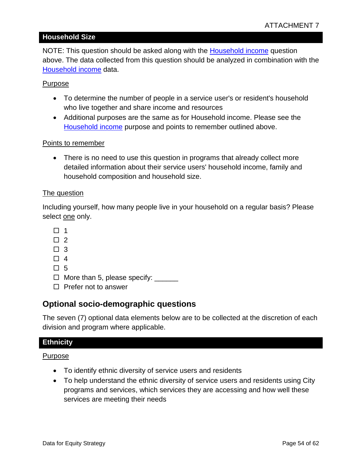#### <span id="page-53-1"></span>**Household Size**

NOTE: This question should be asked along with the [Household income](#page-50-0) question above. The data collected from this question should be analyzed in combination with the [Household income](#page-50-0) data.

#### Purpose

- To determine the number of people in a service user's or resident's household who live together and share income and resources
- Additional purposes are the same as for Household income. Please see the [Household income](#page-50-0) purpose and points to remember outlined above.

#### Points to remember

• There is no need to use this question in programs that already collect more detailed information about their service users' household income, family and household composition and household size.

#### The question

Including yourself, how many people live in your household on a regular basis? Please select one only.

- $\Box$  1
- $\Box$  2
- $\Box$  3
- $\Box$  4
- $\Box$  5
- $\Box$  More than 5, please specify:  $\Box$
- $\Box$  Prefer not to answer

#### **Optional socio-demographic questions**

The seven (7) optional data elements below are to be collected at the discretion of each division and program where applicable.

#### <span id="page-53-0"></span>**Ethnicity**

Purpose

- To identify ethnic diversity of service users and residents
- To help understand the ethnic diversity of service users and residents using City programs and services, which services they are accessing and how well these services are meeting their needs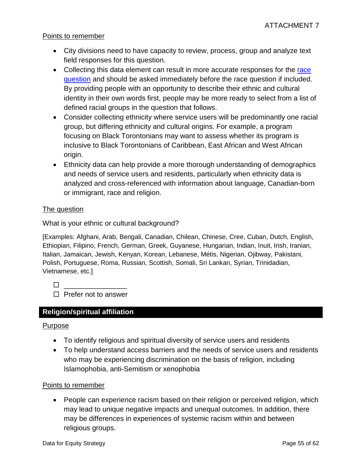#### Points to remember

- City divisions need to have capacity to review, process, group and analyze text field responses for this question.
- Collecting this data element can result in more accurate responses for the race [question](#page-42-0) and should be asked immediately before the race question if included. By providing people with an opportunity to describe their ethnic and cultural identity in their own words first, people may be more ready to select from a list of defined racial groups in the question that follows.
- Consider collecting ethnicity where service users will be predominantly one racial group, but differing ethnicity and cultural origins. For example, a program focusing on Black Torontonians may want to assess whether its program is inclusive to Black Torontonians of Caribbean, East African and West African origin.
- Ethnicity data can help provide a more thorough understanding of demographics and needs of service users and residents, particularly when ethnicity data is analyzed and cross-referenced with information about language, Canadian-born or immigrant, race and religion.

#### The question

What is your ethnic or cultural background?

[Examples: Afghani, Arab, Bengali, Canadian, Chilean, Chinese, Cree, Cuban, Dutch, English, Ethiopian, Filipino, French, German, Greek, Guyanese, Hungarian, Indian, Inuit, Irish, Iranian, Italian, Jamaican, Jewish, Kenyan, Korean, Lebanese, Métis, Nigerian, Ojibway, Pakistani, Polish, Portuguese, Roma, Russian, Scottish, Somali, Sri Lankan, Syrian, Trinidadian, Vietnamese, etc.]

\_\_\_\_\_\_\_\_\_\_\_\_\_\_\_\_

 $\Box$  Prefer not to answer

### <span id="page-54-0"></span>**Religion/spiritual affiliation**

#### Purpose

- To identify religious and spiritual diversity of service users and residents
- To help understand access barriers and the needs of service users and residents who may be experiencing discrimination on the basis of religion, including Islamophobia, anti-Semitism or xenophobia

#### Points to remember

• People can experience racism based on their religion or perceived religion, which may lead to unique negative impacts and unequal outcomes. In addition, there may be differences in experiences of systemic racism within and between religious groups.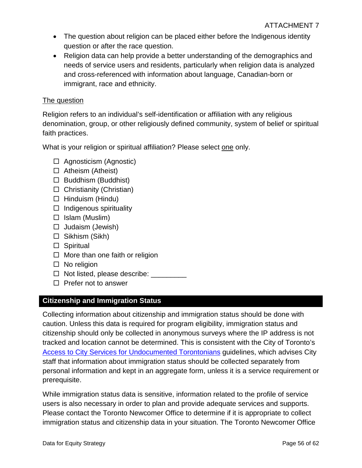- The question about religion can be placed either before the Indigenous identity question or after the race question.
- Religion data can help provide a better understanding of the demographics and needs of service users and residents, particularly when religion data is analyzed and cross-referenced with information about language, Canadian-born or immigrant, race and ethnicity.

#### The question

Religion refers to an individual's self-identification or affiliation with any religious denomination, group, or other religiously defined community, system of belief or spiritual faith practices.

What is your religion or spiritual affiliation? Please select one only.

- $\Box$  Agnosticism (Agnostic)
- $\Box$  Atheism (Atheist)
- $\Box$  Buddhism (Buddhist)
- $\Box$  Christianity (Christian)
- $\Box$  Hinduism (Hindu)
- $\Box$  Indigenous spirituality
- $\Box$  Islam (Muslim)
- $\Box$  Judaism (Jewish)
- $\Box$  Sikhism (Sikh)
- □ Spiritual
- $\Box$  More than one faith or religion
- $\square$  No religion
- $\Box$  Not listed, please describe:  $\Box$
- $\Box$  Prefer not to answer

### <span id="page-55-0"></span>**Citizenship and Immigration Status**

Collecting information about citizenship and immigration status should be done with caution. Unless this data is required for program eligibility, immigration status and citizenship should only be collected in anonymous surveys where the IP address is not tracked and location cannot be determined. This is consistent with the City of Toronto's [Access to City Services for Undocumented Torontonians](https://www.toronto.ca/city-government/accountability-operations-customer-service/long-term-vision-plans-and-strategies/access-to-city-services-for-undocumented-torontonians/) guidelines, which advises City staff that information about immigration status should be collected separately from personal information and kept in an aggregate form, unless it is a service requirement or prerequisite.

While immigration status data is sensitive, information related to the profile of service users is also necessary in order to plan and provide adequate services and supports. Please contact the Toronto Newcomer Office to determine if it is appropriate to collect immigration status and citizenship data in your situation. The Toronto Newcomer Office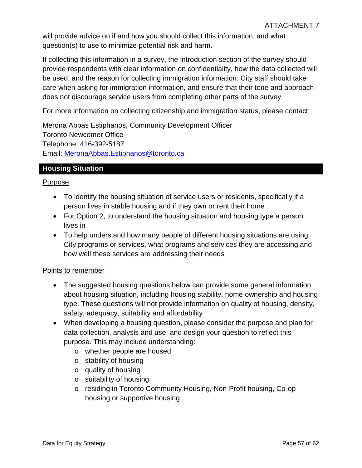will provide advice on if and how you should collect this information, and what question(s) to use to minimize potential risk and harm.

If collecting this information in a survey, the introduction section of the survey should provide respondents with clear information on confidentiality, how the data collected will be used, and the reason for collecting immigration information. City staff should take care when asking for immigration information, and ensure that their tone and approach does not discourage service users from completing other parts of the survey.

For more information on collecting citizenship and immigration status, please contact:

Merona Abbas Estiphanos, Community Development Officer Toronto Newcomer Office Telephone: 416-392-5187 Email: [MeronaAbbas.Estiphanos@toronto.ca](mailto:MeronaAbbas.Estiphanos@toronto.ca)

#### <span id="page-56-0"></span>**Housing Situation**

#### Purpose

- To identify the housing situation of service users or residents, specifically if a person lives in stable housing and if they own or rent their home
- For Option 2, to understand the housing situation and housing type a person lives in
- To help understand how many people of different housing situations are using City programs or services, what programs and services they are accessing and how well these services are addressing their needs

#### Points to remember

- The suggested housing questions below can provide some general information about housing situation, including housing stability, home ownership and housing type. These questions will not provide information on quality of housing, density, safety, adequacy, suitability and affordability
- When developing a housing question, please consider the purpose and plan for data collection, analysis and use, and design your question to reflect this purpose. This may include understanding:
	- o whether people are housed
	- o stability of housing
	- o quality of housing
	- o suitability of housing
	- o residing in Toronto Community Housing, Non-Profit housing, Co-op housing or supportive housing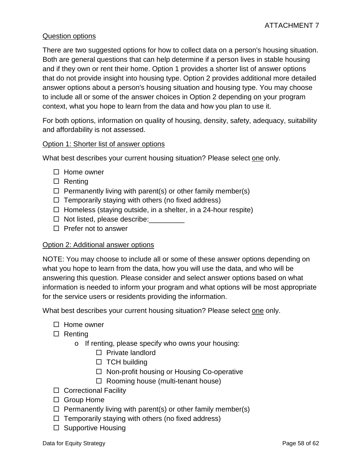#### Question options

There are two suggested options for how to collect data on a person's housing situation. Both are general questions that can help determine if a person lives in stable housing and if they own or rent their home. Option 1 provides a shorter list of answer options that do not provide insight into housing type. Option 2 provides additional more detailed answer options about a person's housing situation and housing type. You may choose to include all or some of the answer choices in Option 2 depending on your program context, what you hope to learn from the data and how you plan to use it.

For both options, information on quality of housing, density, safety, adequacy, suitability and affordability is not assessed.

#### Option 1: Shorter list of answer options

What best describes your current housing situation? Please select one only.

- $\Box$  Home owner
- $\Box$  Renting
- $\Box$  Permanently living with parent(s) or other family member(s)
- $\Box$  Temporarily staying with others (no fixed address)
- $\Box$  Homeless (staying outside, in a shelter, in a 24-hour respite)
- $\Box$  Not listed, please describe:
- $\Box$  Prefer not to answer

#### Option 2: Additional answer options

NOTE: You may choose to include all or some of these answer options depending on what you hope to learn from the data, how you will use the data, and who will be answering this question. Please consider and select answer options based on what information is needed to inform your program and what options will be most appropriate for the service users or residents providing the information.

What best describes your current housing situation? Please select one only.

- $\Box$  Home owner
- $\square$  Renting
	- o If renting, please specify who owns your housing:
		- $\Box$  Private landlord
		- $\Box$  TCH building
		- $\Box$  Non-profit housing or Housing Co-operative
		- $\Box$  Rooming house (multi-tenant house)
- $\Box$  Correctional Facility
- □ Group Home
- $\Box$  Permanently living with parent(s) or other family member(s)
- $\Box$  Temporarily staying with others (no fixed address)
- $\square$  Supportive Housing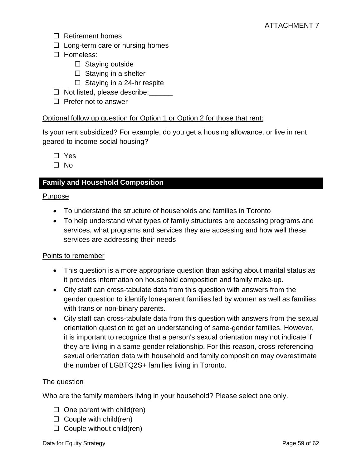- $\Box$  Retirement homes
- $\Box$  Long-term care or nursing homes
- □ Homeless:
	- $\square$  Staying outside
	- $\Box$  Staying in a shelter
	- $\Box$  Staying in a 24-hr respite
- $\Box$  Not listed, please describe:
- $\Box$  Prefer not to answer

#### Optional follow up question for Option 1 or Option 2 for those that rent:

Is your rent subsidized? For example, do you get a housing allowance, or live in rent geared to income social housing?

□ Yes

 $\Box$  No

#### <span id="page-58-0"></span>**Family and Household Composition**

#### Purpose

- To understand the structure of households and families in Toronto
- To help understand what types of family structures are accessing programs and services, what programs and services they are accessing and how well these services are addressing their needs

#### Points to remember

- This question is a more appropriate question than asking about marital status as it provides information on household composition and family make-up.
- City staff can cross-tabulate data from this question with answers from the gender question to identify lone-parent families led by women as well as families with trans or non-binary parents.
- City staff can cross-tabulate data from this question with answers from the sexual orientation question to get an understanding of same-gender families. However, it is important to recognize that a person's sexual orientation may not indicate if they are living in a same-gender relationship. For this reason, cross-referencing sexual orientation data with household and family composition may overestimate the number of LGBTQ2S+ families living in Toronto.

#### The question

Who are the family members living in your household? Please select one only.

- $\Box$  One parent with child(ren)
- $\Box$  Couple with child(ren)
- $\Box$  Couple without child(ren)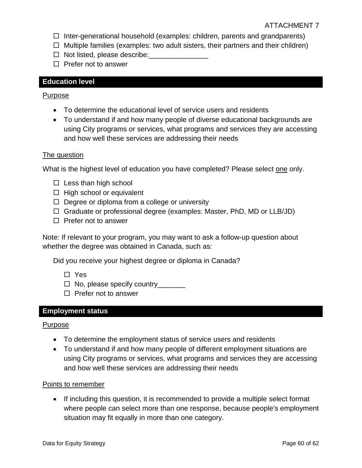- $\Box$  Inter-generational household (examples: children, parents and grandparents)
- $\Box$  Multiple families (examples: two adult sisters, their partners and their children)
- $\Box$  Not listed, please describe:
- $\Box$  Prefer not to answer

#### <span id="page-59-0"></span>**Education level**

#### Purpose

- To determine the educational level of service users and residents
- To understand if and how many people of diverse educational backgrounds are using City programs or services, what programs and services they are accessing and how well these services are addressing their needs

#### The question

What is the highest level of education you have completed? Please select one only.

- $\Box$  Less than high school
- $\Box$  High school or equivalent
- $\Box$  Degree or diploma from a college or university
- $\Box$  Graduate or professional degree (examples: Master, PhD, MD or LLB/JD)
- $\Box$  Prefer not to answer

Note: If relevant to your program, you may want to ask a follow-up question about whether the degree was obtained in Canada, such as:

Did you receive your highest degree or diploma in Canada?

- Yes
- □ No, please specify country\_\_\_\_\_\_\_
- $\Box$  Prefer not to answer

#### <span id="page-59-1"></span>**Employment status**

#### Purpose

- To determine the employment status of service users and residents
- To understand if and how many people of different employment situations are using City programs or services, what programs and services they are accessing and how well these services are addressing their needs

#### Points to remember

• If including this question, it is recommended to provide a multiple select format where people can select more than one response, because people's employment situation may fit equally in more than one category.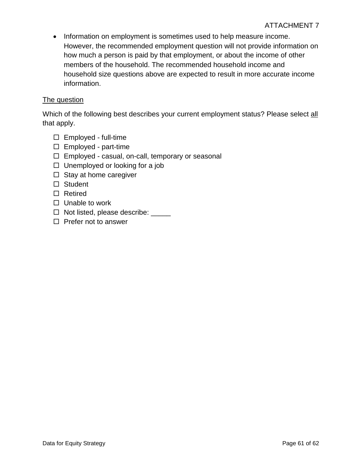• Information on employment is sometimes used to help measure income. However, the recommended employment question will not provide information on how much a person is paid by that employment, or about the income of other members of the household. The recommended household income and household size questions above are expected to result in more accurate income information.

#### The question

Which of the following best describes your current employment status? Please select all that apply.

- $\square$  Employed full-time
- $\Box$  Employed part-time
- $\Box$  Employed casual, on-call, temporary or seasonal
- $\Box$  Unemployed or looking for a job
- $\Box$  Stay at home caregiver
- □ Student
- □ Retired
- $\Box$  Unable to work
- □ Not listed, please describe: \_\_\_\_\_
- $\Box$  Prefer not to answer